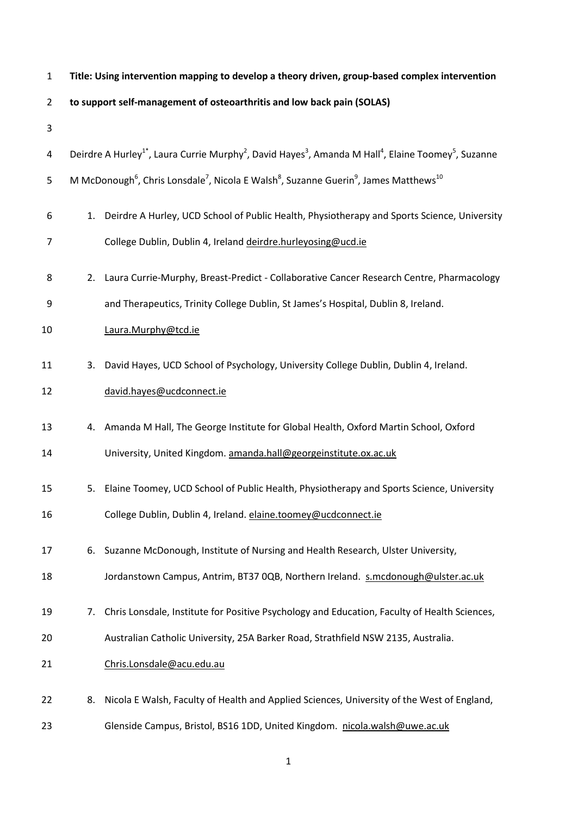| $\mathbf{1}$   | Title: Using intervention mapping to develop a theory driven, group-based complex intervention |                                                                                                                                                                              |  |
|----------------|------------------------------------------------------------------------------------------------|------------------------------------------------------------------------------------------------------------------------------------------------------------------------------|--|
| $\overline{2}$ |                                                                                                | to support self-management of osteoarthritis and low back pain (SOLAS)                                                                                                       |  |
| 3              |                                                                                                |                                                                                                                                                                              |  |
| 4              |                                                                                                | Deirdre A Hurley <sup>1</sup> <sup>*</sup> , Laura Currie Murphy <sup>2</sup> , David Hayes <sup>3</sup> , Amanda M Hall <sup>4</sup> , Elaine Toomey <sup>5</sup> , Suzanne |  |
| 5              |                                                                                                | M McDonough <sup>6</sup> , Chris Lonsdale <sup>7</sup> , Nicola E Walsh <sup>8</sup> , Suzanne Guerin <sup>9</sup> , James Matthews <sup>10</sup>                            |  |
| 6              | 1.                                                                                             | Deirdre A Hurley, UCD School of Public Health, Physiotherapy and Sports Science, University                                                                                  |  |
| 7              |                                                                                                | College Dublin, Dublin 4, Ireland deirdre.hurleyosing@ucd.ie                                                                                                                 |  |
| 8              | 2.                                                                                             | Laura Currie-Murphy, Breast-Predict - Collaborative Cancer Research Centre, Pharmacology                                                                                     |  |
| 9              |                                                                                                | and Therapeutics, Trinity College Dublin, St James's Hospital, Dublin 8, Ireland.                                                                                            |  |
| 10             |                                                                                                | Laura.Murphy@tcd.ie                                                                                                                                                          |  |
| 11             | 3.                                                                                             | David Hayes, UCD School of Psychology, University College Dublin, Dublin 4, Ireland.                                                                                         |  |
| 12             |                                                                                                | david.hayes@ucdconnect.ie                                                                                                                                                    |  |
| 13             | 4.                                                                                             | Amanda M Hall, The George Institute for Global Health, Oxford Martin School, Oxford                                                                                          |  |
| 14             |                                                                                                | University, United Kingdom. amanda.hall@georgeinstitute.ox.ac.uk                                                                                                             |  |
| 15             | 5.                                                                                             | Elaine Toomey, UCD School of Public Health, Physiotherapy and Sports Science, University                                                                                     |  |
| 16             |                                                                                                | College Dublin, Dublin 4, Ireland. elaine.toomey@ucdconnect.ie                                                                                                               |  |
| 17             | 6.                                                                                             | Suzanne McDonough, Institute of Nursing and Health Research, Ulster University,                                                                                              |  |
| 18             |                                                                                                | Jordanstown Campus, Antrim, BT37 0QB, Northern Ireland. s.mcdonough@ulster.ac.uk                                                                                             |  |
| 19             | 7.                                                                                             | Chris Lonsdale, Institute for Positive Psychology and Education, Faculty of Health Sciences,                                                                                 |  |
| 20             |                                                                                                | Australian Catholic University, 25A Barker Road, Strathfield NSW 2135, Australia.                                                                                            |  |
| 21             |                                                                                                | Chris.Lonsdale@acu.edu.au                                                                                                                                                    |  |
| 22             | 8.                                                                                             | Nicola E Walsh, Faculty of Health and Applied Sciences, University of the West of England,                                                                                   |  |
| 23             |                                                                                                | Glenside Campus, Bristol, BS16 1DD, United Kingdom. nicola.walsh@uwe.ac.uk                                                                                                   |  |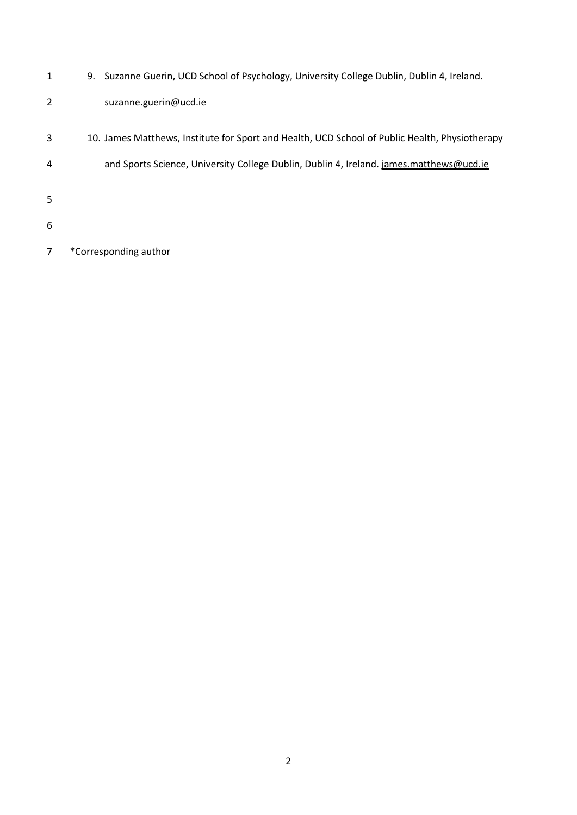- 9. Suzanne Guerin, UCD School of Psychology, University College Dublin, Dublin 4, Ireland.
- suzanne.guerin@ucd.ie
- 10. James Matthews, Institute for Sport and Health, UCD School of Public Health, Physiotherapy
- 4 and Sports Science, University College Dublin, Dublin 4, Ireland. *james.matthews@ucd.ie*
- 
- 
- \*Corresponding author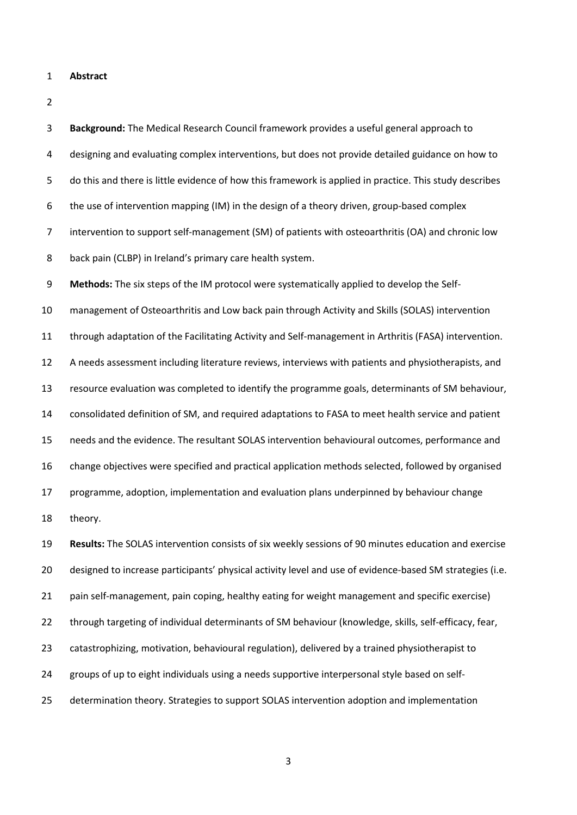**Abstract**

 **Background:** The Medical Research Council framework provides a useful general approach to designing and evaluating complex interventions, but does not provide detailed guidance on how to do this and there is little evidence of how this framework is applied in practice. This study describes the use of intervention mapping (IM) in the design of a theory driven, group-based complex intervention to support self-management (SM) of patients with osteoarthritis (OA) and chronic low back pain (CLBP) in Ireland's primary care health system. **Methods:** The six steps of the IM protocol were systematically applied to develop the Self- management of Osteoarthritis and Low back pain through Activity and Skills (SOLAS) intervention through adaptation of the Facilitating Activity and Self-management in Arthritis (FASA) intervention. A needs assessment including literature reviews, interviews with patients and physiotherapists, and resource evaluation was completed to identify the programme goals, determinants of SM behaviour, consolidated definition of SM, and required adaptations to FASA to meet health service and patient needs and the evidence. The resultant SOLAS intervention behavioural outcomes, performance and change objectives were specified and practical application methods selected, followed by organised programme, adoption, implementation and evaluation plans underpinned by behaviour change

theory.

 **Results:** The SOLAS intervention consists of six weekly sessions of 90 minutes education and exercise designed to increase participants' physical activity level and use of evidence-based SM strategies (i.e. 21 pain self-management, pain coping, healthy eating for weight management and specific exercise) through targeting of individual determinants of SM behaviour (knowledge, skills, self-efficacy, fear, catastrophizing, motivation, behavioural regulation), delivered by a trained physiotherapist to groups of up to eight individuals using a needs supportive interpersonal style based on self-determination theory. Strategies to support SOLAS intervention adoption and implementation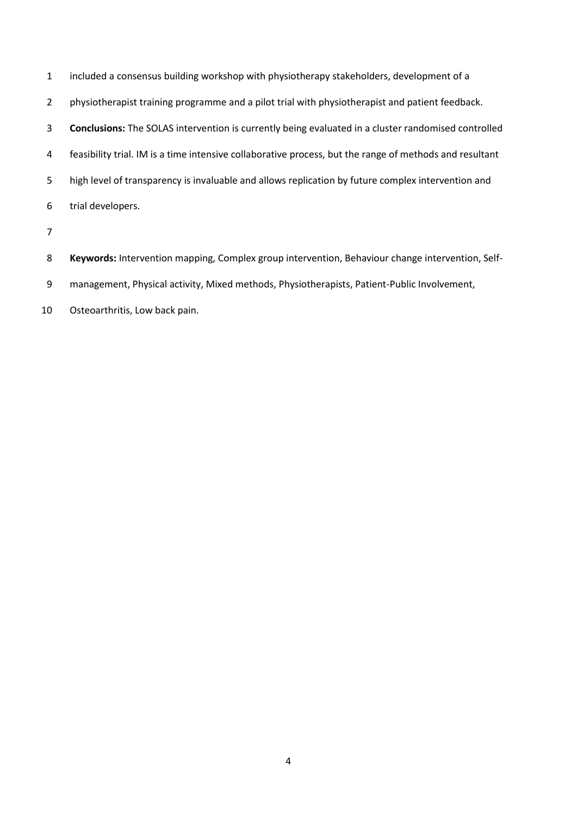| $\mathbf{1}$   | included a consensus building workshop with physiotherapy stakeholders, development of a                   |
|----------------|------------------------------------------------------------------------------------------------------------|
| $\overline{2}$ | physiotherapist training programme and a pilot trial with physiotherapist and patient feedback.            |
| 3              | <b>Conclusions:</b> The SOLAS intervention is currently being evaluated in a cluster randomised controlled |
| 4              | feasibility trial. IM is a time intensive collaborative process, but the range of methods and resultant    |
| 5              | high level of transparency is invaluable and allows replication by future complex intervention and         |
| 6              | trial developers.                                                                                          |
| $\overline{7}$ |                                                                                                            |
| 8              | Keywords: Intervention mapping, Complex group intervention, Behaviour change intervention, Self-           |

- management, Physical activity, Mixed methods, Physiotherapists, Patient-Public Involvement,
- Osteoarthritis, Low back pain.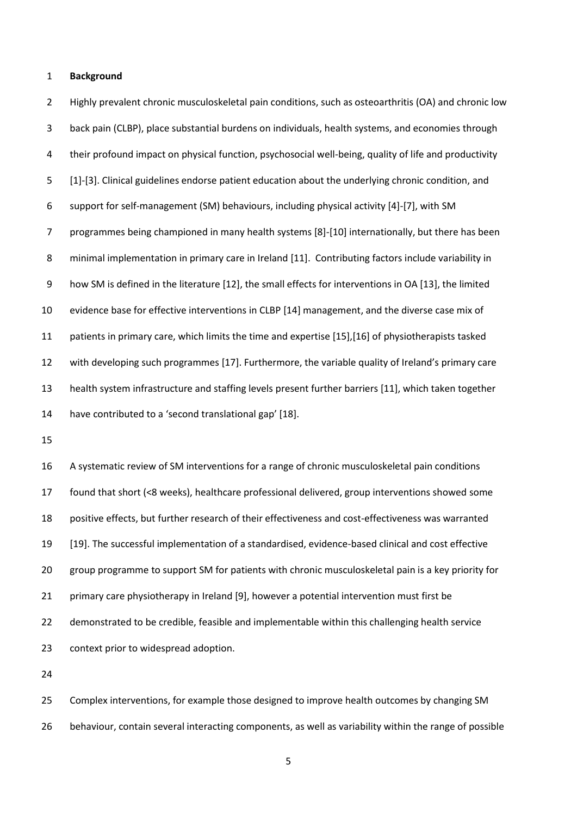#### **Background**

 Highly prevalent chronic musculoskeletal pain conditions, such as osteoarthritis (OA) and chronic low back pain (CLBP), place substantial burdens on individuals, health systems, and economies through their profound impact on physical function, psychosocial well-being, quality of life and productivity [1]-[3]. Clinical guidelines endorse patient education about the underlying chronic condition, and support for self-management (SM) behaviours, including physical activity [4]-[7], with SM programmes being championed in many health systems [8]-[10] internationally, but there has been minimal implementation in primary care in Ireland [11]. Contributing factors include variability in how SM is defined in the literature [12], the small effects for interventions in OA [13], the limited evidence base for effective interventions in CLBP [14] management, and the diverse case mix of patients in primary care, which limits the time and expertise [15],[16] of physiotherapists tasked with developing such programmes [17]. Furthermore, the variable quality of Ireland's primary care health system infrastructure and staffing levels present further barriers [11], which taken together have contributed to a 'second translational gap' [18].

 A systematic review of SM interventions for a range of chronic musculoskeletal pain conditions found that short (<8 weeks), healthcare professional delivered, group interventions showed some positive effects, but further research of their effectiveness and cost-effectiveness was warranted [19]. The successful implementation of a standardised, evidence-based clinical and cost effective group programme to support SM for patients with chronic musculoskeletal pain is a key priority for primary care physiotherapy in Ireland [9], however a potential intervention must first be demonstrated to be credible, feasible and implementable within this challenging health service context prior to widespread adoption.

 Complex interventions, for example those designed to improve health outcomes by changing SM behaviour, contain several interacting components, as well as variability within the range of possible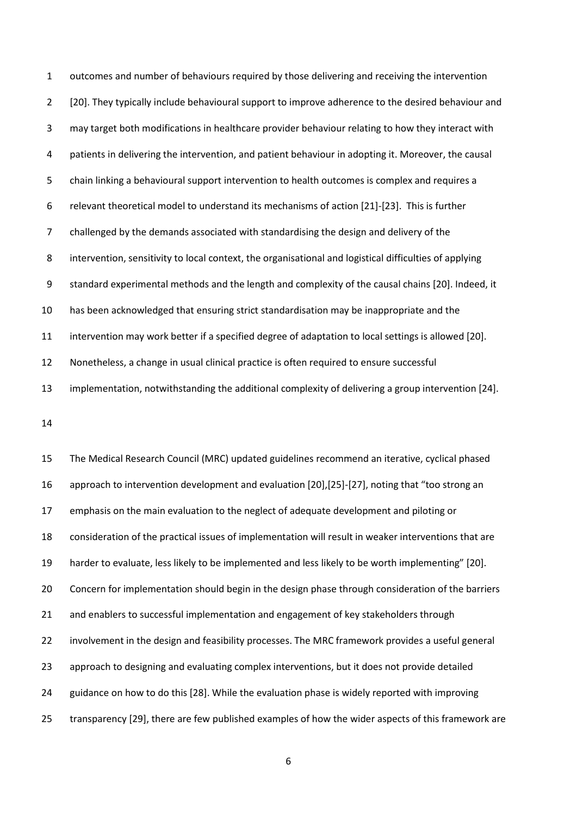outcomes and number of behaviours required by those delivering and receiving the intervention 2 [20]. They typically include behavioural support to improve adherence to the desired behaviour and may target both modifications in healthcare provider behaviour relating to how they interact with patients in delivering the intervention, and patient behaviour in adopting it. Moreover, the causal chain linking a behavioural support intervention to health outcomes is complex and requires a relevant theoretical model to understand its mechanisms of action [21]-[23]. This is further challenged by the demands associated with standardising the design and delivery of the intervention, sensitivity to local context, the organisational and logistical difficulties of applying standard experimental methods and the length and complexity of the causal chains [20]. Indeed, it has been acknowledged that ensuring strict standardisation may be inappropriate and the intervention may work better if a specified degree of adaptation to local settings is allowed [20]. Nonetheless, a change in usual clinical practice is often required to ensure successful implementation, notwithstanding the additional complexity of delivering a group intervention [24].

 The Medical Research Council (MRC) updated guidelines recommend an iterative, cyclical phased approach to intervention development and evaluation [20],[25]-[27], noting that "too strong an emphasis on the main evaluation to the neglect of adequate development and piloting or consideration of the practical issues of implementation will result in weaker interventions that are harder to evaluate, less likely to be implemented and less likely to be worth implementing" [20]. Concern for implementation should begin in the design phase through consideration of the barriers 21 and enablers to successful implementation and engagement of key stakeholders through involvement in the design and feasibility processes. The MRC framework provides a useful general approach to designing and evaluating complex interventions, but it does not provide detailed guidance on how to do this [28]. While the evaluation phase is widely reported with improving transparency [29], there are few published examples of how the wider aspects of this framework are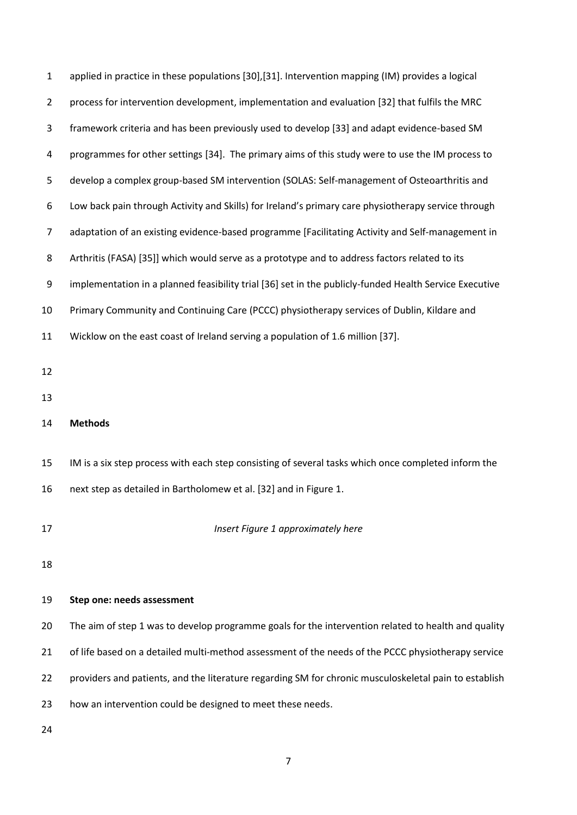| $\mathbf{1}$   | applied in practice in these populations [30], [31]. Intervention mapping (IM) provides a logical      |  |  |
|----------------|--------------------------------------------------------------------------------------------------------|--|--|
| $\overline{2}$ | process for intervention development, implementation and evaluation [32] that fulfils the MRC          |  |  |
| 3              | framework criteria and has been previously used to develop [33] and adapt evidence-based SM            |  |  |
| 4              | programmes for other settings [34]. The primary aims of this study were to use the IM process to       |  |  |
| 5              | develop a complex group-based SM intervention (SOLAS: Self-management of Osteoarthritis and            |  |  |
| 6              | Low back pain through Activity and Skills) for Ireland's primary care physiotherapy service through    |  |  |
| 7              | adaptation of an existing evidence-based programme [Facilitating Activity and Self-management in       |  |  |
| 8              | Arthritis (FASA) [35]] which would serve as a prototype and to address factors related to its          |  |  |
| 9              | implementation in a planned feasibility trial [36] set in the publicly-funded Health Service Executive |  |  |
| 10             | Primary Community and Continuing Care (PCCC) physiotherapy services of Dublin, Kildare and             |  |  |
| 11             | Wicklow on the east coast of Ireland serving a population of 1.6 million [37].                         |  |  |
| 12             |                                                                                                        |  |  |
| 13             |                                                                                                        |  |  |
| 14             | <b>Methods</b>                                                                                         |  |  |
|                |                                                                                                        |  |  |
| 15             | IM is a six step process with each step consisting of several tasks which once completed inform the    |  |  |
| 16             | next step as detailed in Bartholomew et al. [32] and in Figure 1.                                      |  |  |
| 17             | Insert Figure 1 approximately here                                                                     |  |  |
|                |                                                                                                        |  |  |
| 18             |                                                                                                        |  |  |
|                |                                                                                                        |  |  |
| 19             | Step one: needs assessment                                                                             |  |  |
| 20             | The aim of step 1 was to develop programme goals for the intervention related to health and quality    |  |  |
| 21             | of life based on a detailed multi-method assessment of the needs of the PCCC physiotherapy service     |  |  |
| 22             | providers and patients, and the literature regarding SM for chronic musculoskeletal pain to establish  |  |  |
| 23             | how an intervention could be designed to meet these needs.                                             |  |  |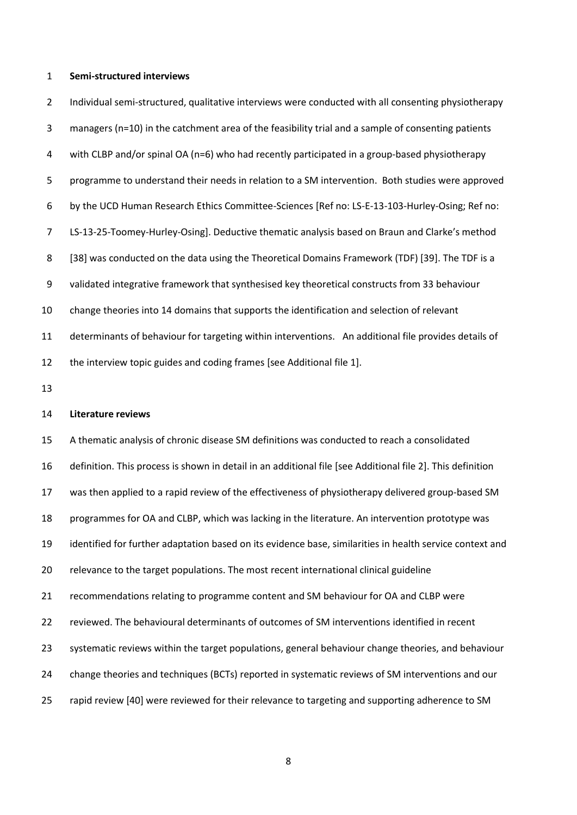#### **Semi-structured interviews**

 Individual semi-structured, qualitative interviews were conducted with all consenting physiotherapy managers (n=10) in the catchment area of the feasibility trial and a sample of consenting patients with CLBP and/or spinal OA (n=6) who had recently participated in a group-based physiotherapy programme to understand their needs in relation to a SM intervention. Both studies were approved by the UCD Human Research Ethics Committee-Sciences [Ref no: LS-E-13-103-Hurley-Osing; Ref no: LS-13-25-Toomey-Hurley-Osing]. Deductive thematic analysis based on Braun and Clarke's method 8 [38] was conducted on the data using the Theoretical Domains Framework (TDF) [39]. The TDF is a validated integrative framework that synthesised key theoretical constructs from 33 behaviour change theories into 14 domains that supports the identification and selection of relevant determinants of behaviour for targeting within interventions. An additional file provides details of the interview topic guides and coding frames [see Additional file 1].

#### **Literature reviews**

 A thematic analysis of chronic disease SM definitions was conducted to reach a consolidated definition. This process is shown in detail in an additional file [see Additional file 2]. This definition was then applied to a rapid review of the effectiveness of physiotherapy delivered group-based SM programmes for OA and CLBP, which was lacking in the literature. An intervention prototype was identified for further adaptation based on its evidence base, similarities in health service context and relevance to the target populations. The most recent international clinical guideline recommendations relating to programme content and SM behaviour for OA and CLBP were reviewed. The behavioural determinants of outcomes of SM interventions identified in recent systematic reviews within the target populations, general behaviour change theories, and behaviour change theories and techniques (BCTs) reported in systematic reviews of SM interventions and our rapid review [40] were reviewed for their relevance to targeting and supporting adherence to SM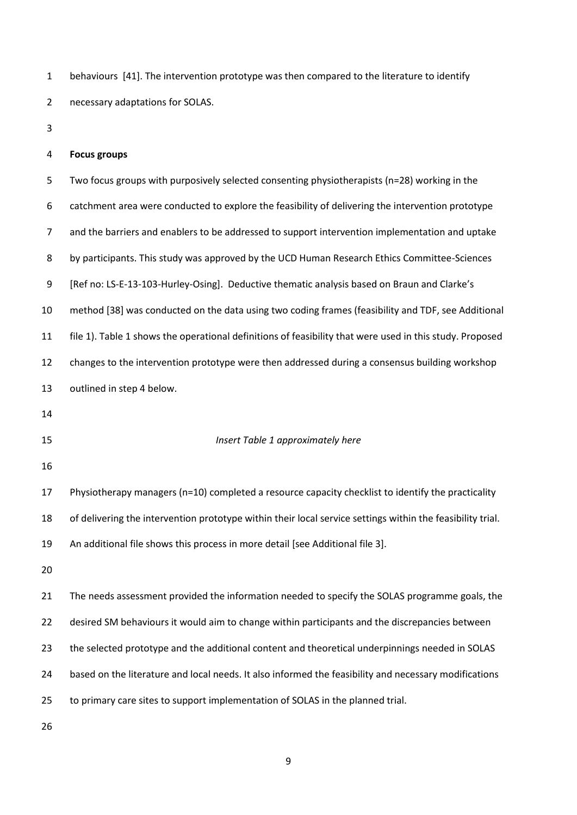behaviours [41]. The intervention prototype was then compared to the literature to identify necessary adaptations for SOLAS.

# **Focus groups**

 Two focus groups with purposively selected consenting physiotherapists (n=28) working in the catchment area were conducted to explore the feasibility of delivering the intervention prototype and the barriers and enablers to be addressed to support intervention implementation and uptake 8 by participants. This study was approved by the UCD Human Research Ethics Committee-Sciences [Ref no: LS-E-13-103-Hurley-Osing]. Deductive thematic analysis based on Braun and Clarke's method [38] was conducted on the data using two coding frames (feasibility and TDF, see Additional file 1). Table 1 shows the operational definitions of feasibility that were used in this study. Proposed changes to the intervention prototype were then addressed during a consensus building workshop outlined in step 4 below. *Insert Table 1 approximately here* Physiotherapy managers (n=10) completed a resource capacity checklist to identify the practicality of delivering the intervention prototype within their local service settings within the feasibility trial. An additional file shows this process in more detail [see Additional file 3]. The needs assessment provided the information needed to specify the SOLAS programme goals, the desired SM behaviours it would aim to change within participants and the discrepancies between

the selected prototype and the additional content and theoretical underpinnings needed in SOLAS

based on the literature and local needs. It also informed the feasibility and necessary modifications

to primary care sites to support implementation of SOLAS in the planned trial.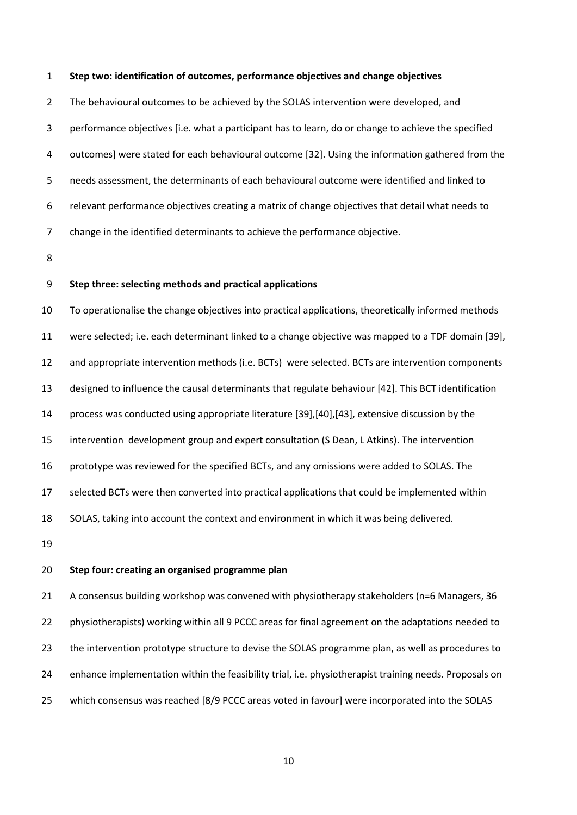#### **Step two: identification of outcomes, performance objectives and change objectives**

 The behavioural outcomes to be achieved by the SOLAS intervention were developed, and performance objectives [i.e. what a participant has to learn, do or change to achieve the specified outcomes] were stated for each behavioural outcome [32]. Using the information gathered from the needs assessment, the determinants of each behavioural outcome were identified and linked to relevant performance objectives creating a matrix of change objectives that detail what needs to change in the identified determinants to achieve the performance objective.

# **Step three: selecting methods and practical applications**

 To operationalise the change objectives into practical applications, theoretically informed methods were selected; i.e. each determinant linked to a change objective was mapped to a TDF domain [39], and appropriate intervention methods (i.e. BCTs) were selected. BCTs are intervention components designed to influence the causal determinants that regulate behaviour [42]. This BCT identification process was conducted using appropriate literature [39],[40],[43], extensive discussion by the intervention development group and expert consultation (S Dean, L Atkins). The intervention prototype was reviewed for the specified BCTs, and any omissions were added to SOLAS. The selected BCTs were then converted into practical applications that could be implemented within SOLAS, taking into account the context and environment in which it was being delivered.

# **Step four: creating an organised programme plan**

 A consensus building workshop was convened with physiotherapy stakeholders (n=6 Managers, 36 physiotherapists) working within all 9 PCCC areas for final agreement on the adaptations needed to the intervention prototype structure to devise the SOLAS programme plan, as well as procedures to enhance implementation within the feasibility trial, i.e. physiotherapist training needs. Proposals on which consensus was reached [8/9 PCCC areas voted in favour] were incorporated into the SOLAS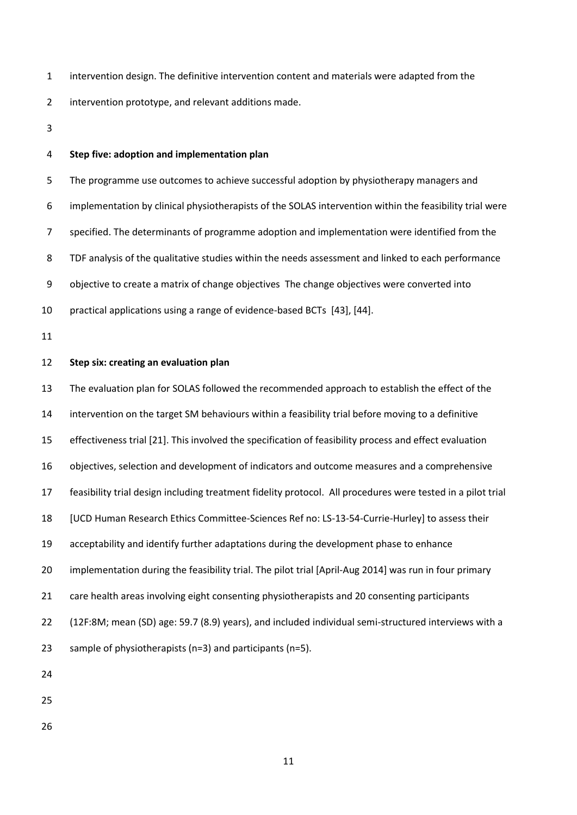intervention design. The definitive intervention content and materials were adapted from the

intervention prototype, and relevant additions made.

#### **Step five: adoption and implementation plan**

 The programme use outcomes to achieve successful adoption by physiotherapy managers and implementation by clinical physiotherapists of the SOLAS intervention within the feasibility trial were specified. The determinants of programme adoption and implementation were identified from the TDF analysis of the qualitative studies within the needs assessment and linked to each performance objective to create a matrix of change objectives The change objectives were converted into practical applications using a range of evidence-based BCTs [43], [44].

# **Step six: creating an evaluation plan**

 The evaluation plan for SOLAS followed the recommended approach to establish the effect of the intervention on the target SM behaviours within a feasibility trial before moving to a definitive effectiveness trial [21]. This involved the specification of feasibility process and effect evaluation objectives, selection and development of indicators and outcome measures and a comprehensive feasibility trial design including treatment fidelity protocol. All procedures were tested in a pilot trial [UCD Human Research Ethics Committee-Sciences Ref no: LS-13-54-Currie-Hurley] to assess their acceptability and identify further adaptations during the development phase to enhance implementation during the feasibility trial. The pilot trial [April-Aug 2014] was run in four primary 21 care health areas involving eight consenting physiotherapists and 20 consenting participants (12F:8M; mean (SD) age: 59.7 (8.9) years), and included individual semi-structured interviews with a sample of physiotherapists (n=3) and participants (n=5).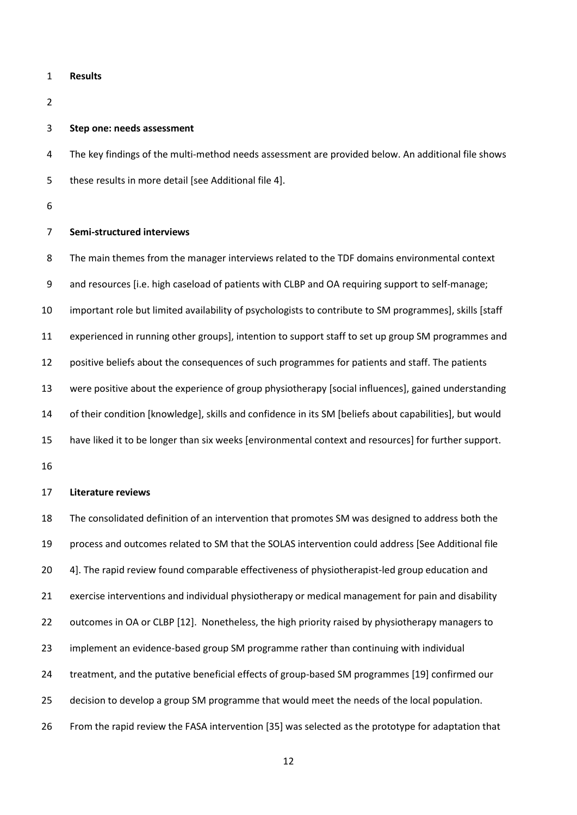- **Results**
- 

#### **Step one: needs assessment**

 The key findings of the multi-method needs assessment are provided below. An additional file shows these results in more detail [see Additional file 4].

# **Semi-structured interviews**

 The main themes from the manager interviews related to the TDF domains environmental context and resources [i.e. high caseload of patients with CLBP and OA requiring support to self-manage; important role but limited availability of psychologists to contribute to SM programmes], skills [staff experienced in running other groups], intention to support staff to set up group SM programmes and positive beliefs about the consequences of such programmes for patients and staff. The patients were positive about the experience of group physiotherapy [social influences], gained understanding of their condition [knowledge], skills and confidence in its SM [beliefs about capabilities], but would have liked it to be longer than six weeks [environmental context and resources] for further support.

#### **Literature reviews**

 The consolidated definition of an intervention that promotes SM was designed to address both the process and outcomes related to SM that the SOLAS intervention could address [See Additional file 4]. The rapid review found comparable effectiveness of physiotherapist-led group education and exercise interventions and individual physiotherapy or medical management for pain and disability 22 outcomes in OA or CLBP [12]. Nonetheless, the high priority raised by physiotherapy managers to implement an evidence-based group SM programme rather than continuing with individual treatment, and the putative beneficial effects of group-based SM programmes [19] confirmed our decision to develop a group SM programme that would meet the needs of the local population. From the rapid review the FASA intervention [35] was selected as the prototype for adaptation that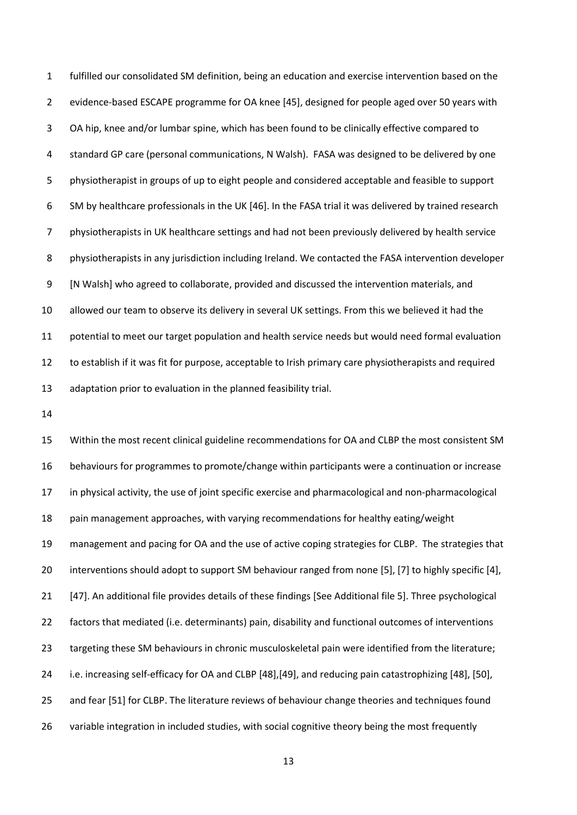fulfilled our consolidated SM definition, being an education and exercise intervention based on the evidence-based ESCAPE programme for OA knee [45], designed for people aged over 50 years with OA hip, knee and/or lumbar spine, which has been found to be clinically effective compared to standard GP care (personal communications, N Walsh). FASA was designed to be delivered by one physiotherapist in groups of up to eight people and considered acceptable and feasible to support SM by healthcare professionals in the UK [46]. In the FASA trial it was delivered by trained research physiotherapists in UK healthcare settings and had not been previously delivered by health service physiotherapists in any jurisdiction including Ireland. We contacted the FASA intervention developer [N Walsh] who agreed to collaborate, provided and discussed the intervention materials, and allowed our team to observe its delivery in several UK settings. From this we believed it had the potential to meet our target population and health service needs but would need formal evaluation to establish if it was fit for purpose, acceptable to Irish primary care physiotherapists and required adaptation prior to evaluation in the planned feasibility trial.

 Within the most recent clinical guideline recommendations for OA and CLBP the most consistent SM behaviours for programmes to promote/change within participants were a continuation or increase in physical activity, the use of joint specific exercise and pharmacological and non-pharmacological pain management approaches, with varying recommendations for healthy eating/weight management and pacing for OA and the use of active coping strategies for CLBP. The strategies that interventions should adopt to support SM behaviour ranged from none [5], [7] to highly specific [4], [47]. An additional file provides details of these findings [See Additional file 5]. Three psychological factors that mediated (i.e. determinants) pain, disability and functional outcomes of interventions targeting these SM behaviours in chronic musculoskeletal pain were identified from the literature; i.e. increasing self-efficacy for OA and CLBP [48],[49], and reducing pain catastrophizing [48], [50], and fear [51] for CLBP. The literature reviews of behaviour change theories and techniques found variable integration in included studies, with social cognitive theory being the most frequently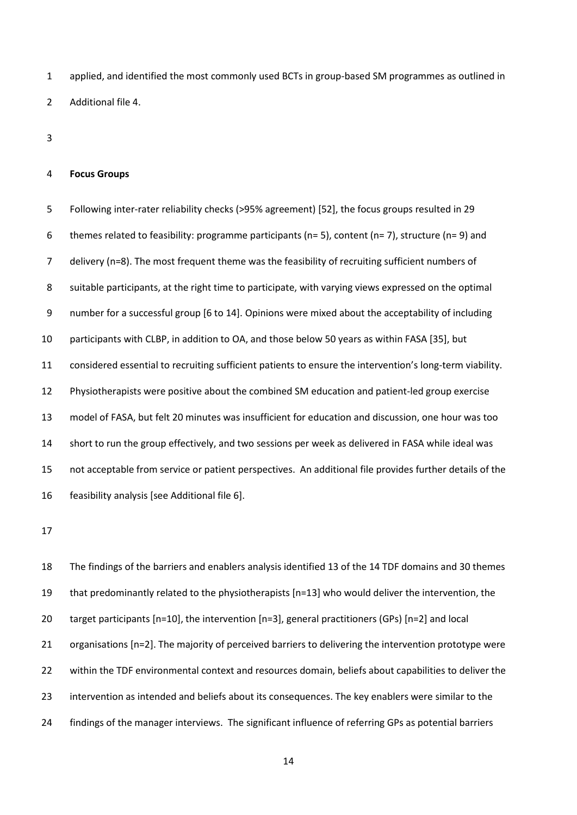applied, and identified the most commonly used BCTs in group-based SM programmes as outlined in Additional file 4.

#### **Focus Groups**

 Following inter-rater reliability checks (>95% agreement) [52], the focus groups resulted in 29 6 themes related to feasibility: programme participants (n= 5), content (n= 7), structure (n= 9) and delivery (n=8). The most frequent theme was the feasibility of recruiting sufficient numbers of suitable participants, at the right time to participate, with varying views expressed on the optimal number for a successful group [6 to 14]. Opinions were mixed about the acceptability of including participants with CLBP, in addition to OA, and those below 50 years as within FASA [35], but considered essential to recruiting sufficient patients to ensure the intervention's long-term viability. Physiotherapists were positive about the combined SM education and patient-led group exercise model of FASA, but felt 20 minutes was insufficient for education and discussion, one hour was too short to run the group effectively, and two sessions per week as delivered in FASA while ideal was not acceptable from service or patient perspectives. An additional file provides further details of the feasibility analysis [see Additional file 6].

 The findings of the barriers and enablers analysis identified 13 of the 14 TDF domains and 30 themes that predominantly related to the physiotherapists [n=13] who would deliver the intervention, the target participants [n=10], the intervention [n=3], general practitioners (GPs) [n=2] and local organisations [n=2]. The majority of perceived barriers to delivering the intervention prototype were within the TDF environmental context and resources domain, beliefs about capabilities to deliver the intervention as intended and beliefs about its consequences. The key enablers were similar to the findings of the manager interviews. The significant influence of referring GPs as potential barriers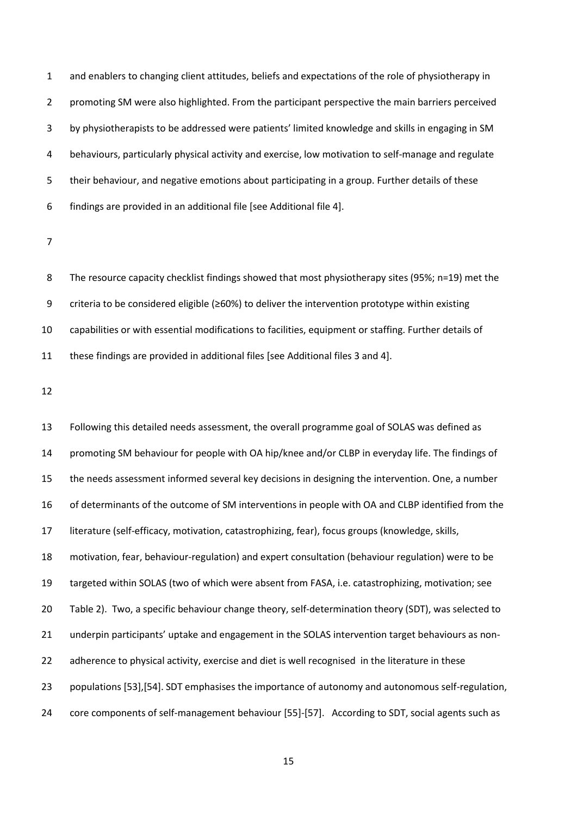and enablers to changing client attitudes, beliefs and expectations of the role of physiotherapy in promoting SM were also highlighted. From the participant perspective the main barriers perceived by physiotherapists to be addressed were patients' limited knowledge and skills in engaging in SM behaviours, particularly physical activity and exercise, low motivation to self-manage and regulate their behaviour, and negative emotions about participating in a group. Further details of these findings are provided in an additional file [see Additional file 4].

8 The resource capacity checklist findings showed that most physiotherapy sites (95%; n=19) met the criteria to be considered eligible (≥60%) to deliver the intervention prototype within existing capabilities or with essential modifications to facilities, equipment or staffing. Further details of these findings are provided in additional files [see Additional files 3 and 4].

 Following this detailed needs assessment, the overall programme goal of SOLAS was defined as promoting SM behaviour for people with OA hip/knee and/or CLBP in everyday life. The findings of the needs assessment informed several key decisions in designing the intervention. One, a number of determinants of the outcome of SM interventions in people with OA and CLBP identified from the literature (self-efficacy, motivation, catastrophizing, fear), focus groups (knowledge, skills, motivation, fear, behaviour-regulation) and expert consultation (behaviour regulation) were to be targeted within SOLAS (two of which were absent from FASA, i.e. catastrophizing, motivation; see Table 2). Two, a specific behaviour change theory, self-determination theory (SDT), was selected to underpin participants' uptake and engagement in the SOLAS intervention target behaviours as non-22 adherence to physical activity, exercise and diet is well recognised in the literature in these populations [53],[54]. SDT emphasises the importance of autonomy and autonomous self-regulation, core components of self-management behaviour [55]-[57]. According to SDT, social agents such as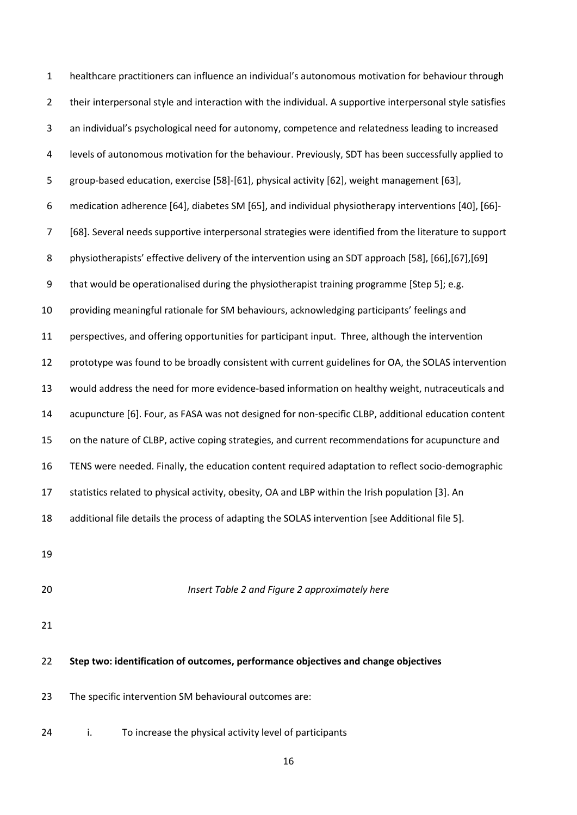healthcare practitioners can influence an individual's autonomous motivation for behaviour through their interpersonal style and interaction with the individual. A supportive interpersonal style satisfies an individual's psychological need for autonomy, competence and relatedness leading to increased levels of autonomous motivation for the behaviour. Previously, SDT has been successfully applied to group-based education, exercise [58]-[61], physical activity [62], weight management [63], medication adherence [64], diabetes SM [65], and individual physiotherapy interventions [40], [66]- [68]. Several needs supportive interpersonal strategies were identified from the literature to support 8 physiotherapists' effective delivery of the intervention using an SDT approach [58], [66], [67], [69] that would be operationalised during the physiotherapist training programme [Step 5]; e.g. providing meaningful rationale for SM behaviours, acknowledging participants' feelings and perspectives, and offering opportunities for participant input. Three, although the intervention prototype was found to be broadly consistent with current guidelines for OA, the SOLAS intervention would address the need for more evidence-based information on healthy weight, nutraceuticals and acupuncture [6]. Four, as FASA was not designed for non-specific CLBP, additional education content on the nature of CLBP, active coping strategies, and current recommendations for acupuncture and TENS were needed. Finally, the education content required adaptation to reflect socio-demographic statistics related to physical activity, obesity, OA and LBP within the Irish population [3]. An additional file details the process of adapting the SOLAS intervention [see Additional file 5]. *Insert Table 2 and Figure 2 approximately here* **Step two: identification of outcomes, performance objectives and change objectives** The specific intervention SM behavioural outcomes are: i. To increase the physical activity level of participants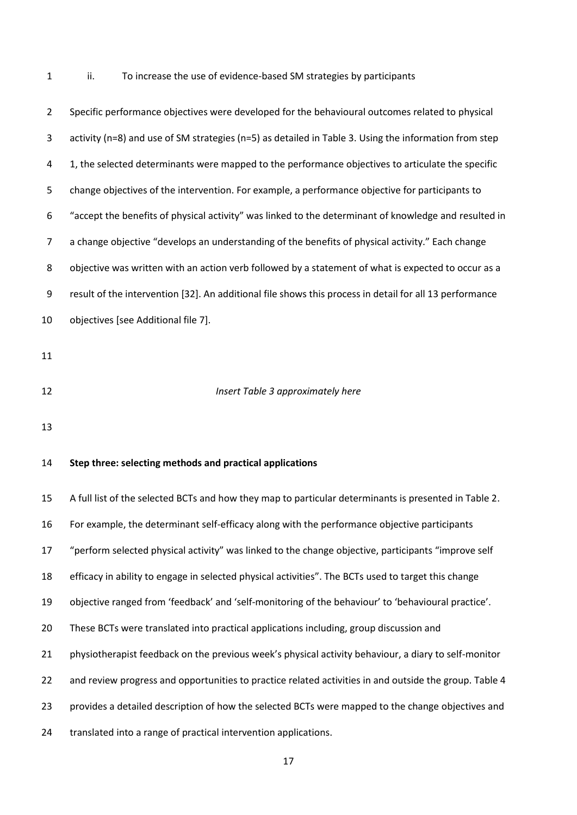ii. To increase the use of evidence-based SM strategies by participants

| $\overline{2}$ | Specific performance objectives were developed for the behavioural outcomes related to physical         |
|----------------|---------------------------------------------------------------------------------------------------------|
| 3              | activity (n=8) and use of SM strategies (n=5) as detailed in Table 3. Using the information from step   |
| 4              | 1, the selected determinants were mapped to the performance objectives to articulate the specific       |
| 5              | change objectives of the intervention. For example, a performance objective for participants to         |
| 6              | "accept the benefits of physical activity" was linked to the determinant of knowledge and resulted in   |
| $\overline{7}$ | a change objective "develops an understanding of the benefits of physical activity." Each change        |
| 8              | objective was written with an action verb followed by a statement of what is expected to occur as a     |
| 9              | result of the intervention [32]. An additional file shows this process in detail for all 13 performance |
| 10             | objectives [see Additional file 7].                                                                     |
| 11             |                                                                                                         |
|                |                                                                                                         |
| 12             | Insert Table 3 approximately here                                                                       |
| 13             |                                                                                                         |
| 14             | Step three: selecting methods and practical applications                                                |
|                |                                                                                                         |
| 15             | A full list of the selected BCTs and how they map to particular determinants is presented in Table 2.   |
| 16             | For example, the determinant self-efficacy along with the performance objective participants            |
| 17             | "perform selected physical activity" was linked to the change objective, participants "improve self     |
| 18             | efficacy in ability to engage in selected physical activities". The BCTs used to target this change     |
| 19             | objective ranged from 'feedback' and 'self-monitoring of the behaviour' to 'behavioural practice'.      |
| 20             | These BCTs were translated into practical applications including, group discussion and                  |
| 21             | physiotherapist feedback on the previous week's physical activity behaviour, a diary to self-monitor    |
| 22             | and review progress and opportunities to practice related activities in and outside the group. Table 4  |
| 23             | provides a detailed description of how the selected BCTs were mapped to the change objectives and       |
| 24             | translated into a range of practical intervention applications.                                         |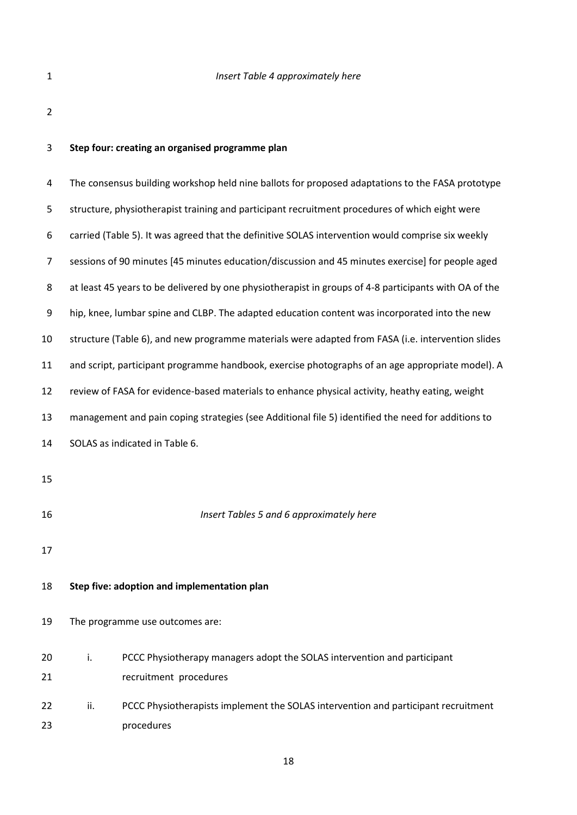| Insert Table 4 approximately here |
|-----------------------------------|
|                                   |

# **Step four: creating an organised programme plan**

| 4                |                                                                                                       | The consensus building workshop held nine ballots for proposed adaptations to the FASA prototype |  |  |  |
|------------------|-------------------------------------------------------------------------------------------------------|--------------------------------------------------------------------------------------------------|--|--|--|
| 5                | structure, physiotherapist training and participant recruitment procedures of which eight were        |                                                                                                  |  |  |  |
| 6                | carried (Table 5). It was agreed that the definitive SOLAS intervention would comprise six weekly     |                                                                                                  |  |  |  |
| $\overline{7}$   |                                                                                                       | sessions of 90 minutes [45 minutes education/discussion and 45 minutes exercise] for people aged |  |  |  |
| 8                | at least 45 years to be delivered by one physiotherapist in groups of 4-8 participants with OA of the |                                                                                                  |  |  |  |
| $\boldsymbol{9}$ | hip, knee, lumbar spine and CLBP. The adapted education content was incorporated into the new         |                                                                                                  |  |  |  |
| 10               | structure (Table 6), and new programme materials were adapted from FASA (i.e. intervention slides     |                                                                                                  |  |  |  |
| 11               | and script, participant programme handbook, exercise photographs of an age appropriate model). A      |                                                                                                  |  |  |  |
| 12               | review of FASA for evidence-based materials to enhance physical activity, heathy eating, weight       |                                                                                                  |  |  |  |
| 13               | management and pain coping strategies (see Additional file 5) identified the need for additions to    |                                                                                                  |  |  |  |
| 14               | SOLAS as indicated in Table 6.                                                                        |                                                                                                  |  |  |  |
| 15               |                                                                                                       |                                                                                                  |  |  |  |
| 16               |                                                                                                       | Insert Tables 5 and 6 approximately here                                                         |  |  |  |
| 17               |                                                                                                       |                                                                                                  |  |  |  |
| 18               |                                                                                                       | Step five: adoption and implementation plan                                                      |  |  |  |
| 19               |                                                                                                       | The programme use outcomes are:                                                                  |  |  |  |
| 20               | i.                                                                                                    | PCCC Physiotherapy managers adopt the SOLAS intervention and participant                         |  |  |  |
| 21               |                                                                                                       | recruitment procedures                                                                           |  |  |  |
| 22               | ii.                                                                                                   | PCCC Physiotherapists implement the SOLAS intervention and participant recruitment               |  |  |  |
| 23               |                                                                                                       | procedures                                                                                       |  |  |  |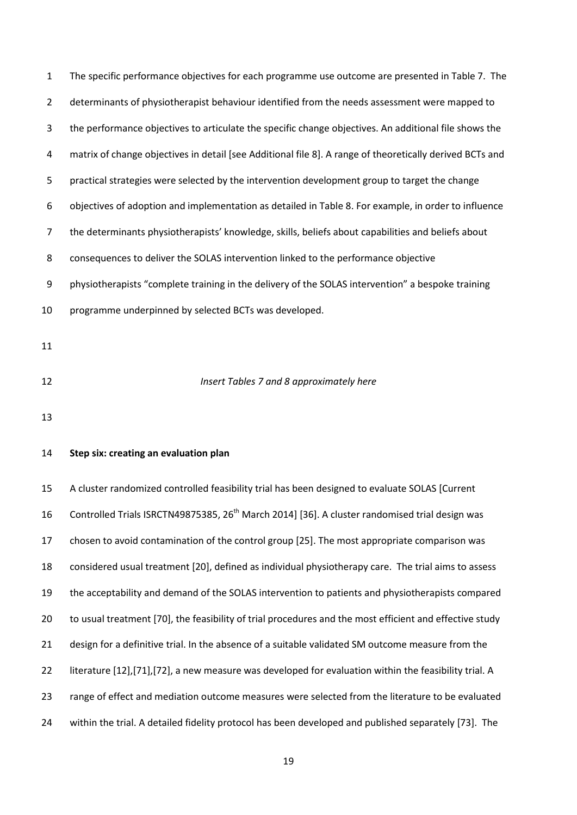| $\mathbf{1}$ | The specific performance objectives for each programme use outcome are presented in Table 7. The           |
|--------------|------------------------------------------------------------------------------------------------------------|
| 2            | determinants of physiotherapist behaviour identified from the needs assessment were mapped to              |
| 3            | the performance objectives to articulate the specific change objectives. An additional file shows the      |
| 4            | matrix of change objectives in detail [see Additional file 8]. A range of theoretically derived BCTs and   |
| 5            | practical strategies were selected by the intervention development group to target the change              |
| 6            | objectives of adoption and implementation as detailed in Table 8. For example, in order to influence       |
| 7            | the determinants physiotherapists' knowledge, skills, beliefs about capabilities and beliefs about         |
| 8            | consequences to deliver the SOLAS intervention linked to the performance objective                         |
| 9            | physiotherapists "complete training in the delivery of the SOLAS intervention" a bespoke training          |
| 10           | programme underpinned by selected BCTs was developed.                                                      |
| 11           |                                                                                                            |
|              |                                                                                                            |
| 12           | Insert Tables 7 and 8 approximately here                                                                   |
| 13           |                                                                                                            |
| 14           | Step six: creating an evaluation plan                                                                      |
| 15           | A cluster randomized controlled feasibility trial has been designed to evaluate SOLAS [Current             |
| 16           | Controlled Trials ISRCTN49875385, 26 <sup>th</sup> March 2014] [36]. A cluster randomised trial design was |
| 17           | chosen to avoid contamination of the control group [25]. The most appropriate comparison was               |

considered usual treatment [20], defined as individual physiotherapy care. The trial aims to assess

the acceptability and demand of the SOLAS intervention to patients and physiotherapists compared

20 to usual treatment [70], the feasibility of trial procedures and the most efficient and effective study

design for a definitive trial. In the absence of a suitable validated SM outcome measure from the

literature [12],[71],[72], a new measure was developed for evaluation within the feasibility trial. A

range of effect and mediation outcome measures were selected from the literature to be evaluated

within the trial. A detailed fidelity protocol has been developed and published separately [73]. The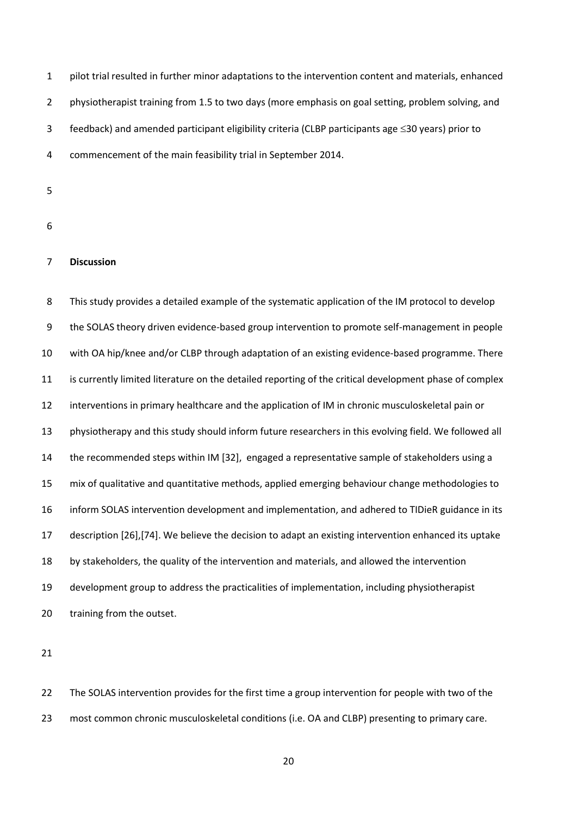pilot trial resulted in further minor adaptations to the intervention content and materials, enhanced 2 physiotherapist training from 1.5 to two days (more emphasis on goal setting, problem solving, and feedback) and amended participant eligibility criteria (CLBP participants age 30 years) prior to commencement of the main feasibility trial in September 2014.

- 
- 

# **Discussion**

 This study provides a detailed example of the systematic application of the IM protocol to develop the SOLAS theory driven evidence-based group intervention to promote self-management in people with OA hip/knee and/or CLBP through adaptation of an existing evidence-based programme. There is currently limited literature on the detailed reporting of the critical development phase of complex interventions in primary healthcare and the application of IM in chronic musculoskeletal pain or physiotherapy and this study should inform future researchers in this evolving field. We followed all the recommended steps within IM [32], engaged a representative sample of stakeholders using a mix of qualitative and quantitative methods, applied emerging behaviour change methodologies to inform SOLAS intervention development and implementation, and adhered to TIDieR guidance in its description [26],[74]. We believe the decision to adapt an existing intervention enhanced its uptake by stakeholders, the quality of the intervention and materials, and allowed the intervention development group to address the practicalities of implementation, including physiotherapist 20 training from the outset.

 The SOLAS intervention provides for the first time a group intervention for people with two of the 23 most common chronic musculoskeletal conditions (i.e. OA and CLBP) presenting to primary care.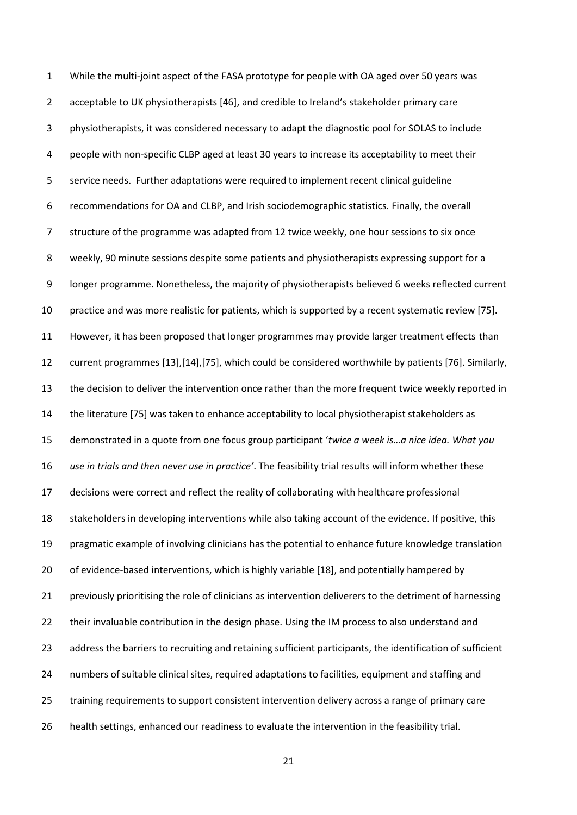While the multi-joint aspect of the FASA prototype for people with OA aged over 50 years was acceptable to UK physiotherapists [46], and credible to Ireland's stakeholder primary care physiotherapists, it was considered necessary to adapt the diagnostic pool for SOLAS to include people with non-specific CLBP aged at least 30 years to increase its acceptability to meet their service needs. Further adaptations were required to implement recent clinical guideline recommendations for OA and CLBP, and Irish sociodemographic statistics. Finally, the overall structure of the programme was adapted from 12 twice weekly, one hour sessions to six once weekly, 90 minute sessions despite some patients and physiotherapists expressing support for a longer programme. Nonetheless, the majority of physiotherapists believed 6 weeks reflected current practice and was more realistic for patients, which is supported by a recent systematic review [75]. However, it has been proposed that longer programmes may provide larger treatment effects than current programmes [13],[14],[75], which could be considered worthwhile by patients [76]. Similarly, the decision to deliver the intervention once rather than the more frequent twice weekly reported in the literature [75] was taken to enhance acceptability to local physiotherapist stakeholders as demonstrated in a quote from one focus group participant '*twice a week is…a nice idea. What you use in trials and then never use in practice'*. The feasibility trial results will inform whether these decisions were correct and reflect the reality of collaborating with healthcare professional stakeholders in developing interventions while also taking account of the evidence. If positive, this pragmatic example of involving clinicians has the potential to enhance future knowledge translation of evidence-based interventions, which is highly variable [18], and potentially hampered by previously prioritising the role of clinicians as intervention deliverers to the detriment of harnessing 22 their invaluable contribution in the design phase. Using the IM process to also understand and address the barriers to recruiting and retaining sufficient participants, the identification of sufficient numbers of suitable clinical sites, required adaptations to facilities, equipment and staffing and training requirements to support consistent intervention delivery across a range of primary care health settings, enhanced our readiness to evaluate the intervention in the feasibility trial.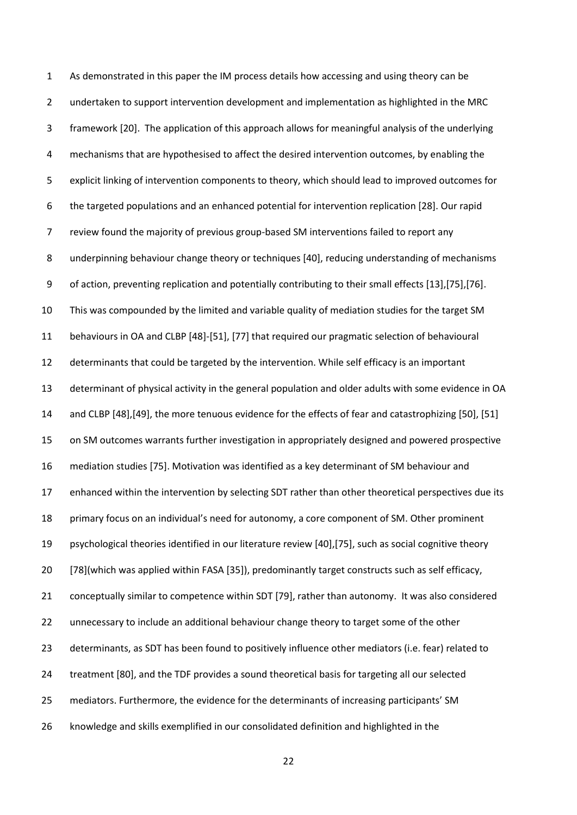As demonstrated in this paper the IM process details how accessing and using theory can be undertaken to support intervention development and implementation as highlighted in the MRC framework [20]. The application of this approach allows for meaningful analysis of the underlying 4 mechanisms that are hypothesised to affect the desired intervention outcomes, by enabling the explicit linking of intervention components to theory, which should lead to improved outcomes for the targeted populations and an enhanced potential for intervention replication [28]. Our rapid review found the majority of previous group-based SM interventions failed to report any underpinning behaviour change theory or techniques [40], reducing understanding of mechanisms of action, preventing replication and potentially contributing to their small effects [13],[75],[76]. This was compounded by the limited and variable quality of mediation studies for the target SM behaviours in OA and CLBP [48]-[51], [77] that required our pragmatic selection of behavioural determinants that could be targeted by the intervention. While self efficacy is an important determinant of physical activity in the general population and older adults with some evidence in OA and CLBP [48],[49], the more tenuous evidence for the effects of fear and catastrophizing [50], [51] on SM outcomes warrants further investigation in appropriately designed and powered prospective mediation studies [75]. Motivation was identified as a key determinant of SM behaviour and enhanced within the intervention by selecting SDT rather than other theoretical perspectives due its primary focus on an individual's need for autonomy, a core component of SM. Other prominent psychological theories identified in our literature review [40],[75], such as social cognitive theory [78](which was applied within FASA [35]), predominantly target constructs such as self efficacy, conceptually similar to competence within SDT [79], rather than autonomy. It was also considered unnecessary to include an additional behaviour change theory to target some of the other determinants, as SDT has been found to positively influence other mediators (i.e. fear) related to treatment [80], and the TDF provides a sound theoretical basis for targeting all our selected mediators. Furthermore, the evidence for the determinants of increasing participants' SM knowledge and skills exemplified in our consolidated definition and highlighted in the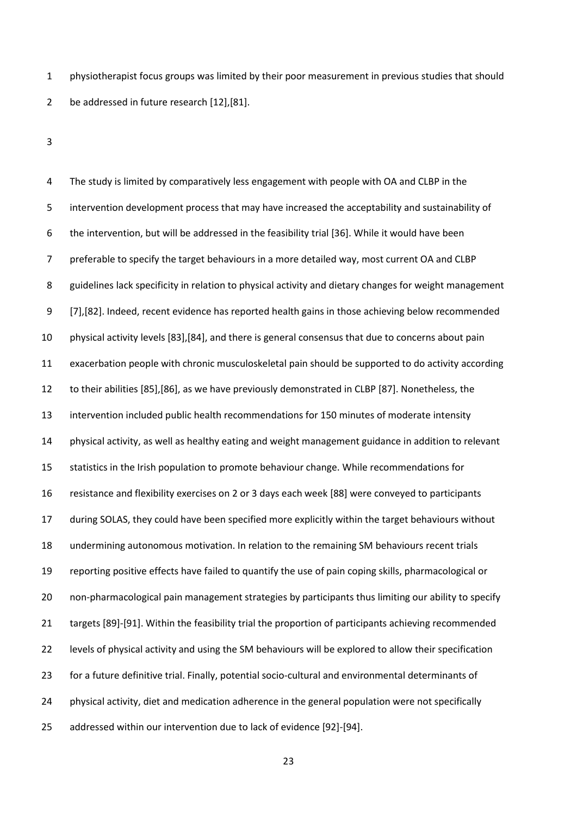physiotherapist focus groups was limited by their poor measurement in previous studies that should be addressed in future research [12],[81].

 The study is limited by comparatively less engagement with people with OA and CLBP in the intervention development process that may have increased the acceptability and sustainability of the intervention, but will be addressed in the feasibility trial [36]. While it would have been preferable to specify the target behaviours in a more detailed way, most current OA and CLBP guidelines lack specificity in relation to physical activity and dietary changes for weight management [7],[82]. Indeed, recent evidence has reported health gains in those achieving below recommended physical activity levels [83],[84], and there is general consensus that due to concerns about pain exacerbation people with chronic musculoskeletal pain should be supported to do activity according to their abilities [85],[86], as we have previously demonstrated in CLBP [87]. Nonetheless, the intervention included public health recommendations for 150 minutes of moderate intensity physical activity, as well as healthy eating and weight management guidance in addition to relevant statistics in the Irish population to promote behaviour change. While recommendations for resistance and flexibility exercises on 2 or 3 days each week [88] were conveyed to participants during SOLAS, they could have been specified more explicitly within the target behaviours without undermining autonomous motivation. In relation to the remaining SM behaviours recent trials reporting positive effects have failed to quantify the use of pain coping skills, pharmacological or non-pharmacological pain management strategies by participants thus limiting our ability to specify targets [89]-[91]. Within the feasibility trial the proportion of participants achieving recommended levels of physical activity and using the SM behaviours will be explored to allow their specification for a future definitive trial. Finally, potential socio-cultural and environmental determinants of physical activity, diet and medication adherence in the general population were not specifically addressed within our intervention due to lack of evidence [92]-[94].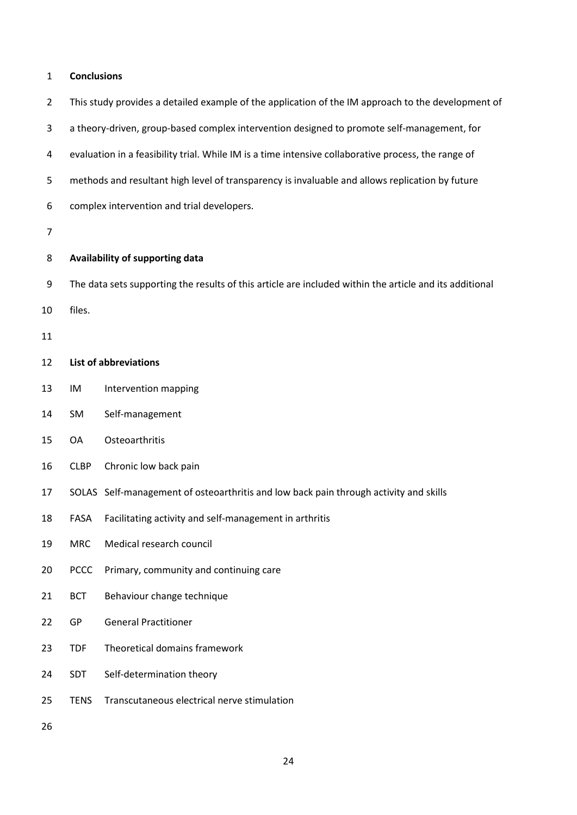## **Conclusions**

|  | This study provides a detailed example of the application of the IM approach to the development of |  |  |  |  |
|--|----------------------------------------------------------------------------------------------------|--|--|--|--|
|--|----------------------------------------------------------------------------------------------------|--|--|--|--|

a theory-driven, group-based complex intervention designed to promote self-management, for

evaluation in a feasibility trial. While IM is a time intensive collaborative process, the range of

methods and resultant high level of transparency is invaluable and allows replication by future

complex intervention and trial developers.

# **Availability of supporting data**

The data sets supporting the results of this article are included within the article and its additional

files.

# **List of abbreviations**

- IM Intervention mapping
- SM Self-management
- OA Osteoarthritis
- CLBP Chronic low back pain
- SOLAS Self-management of osteoarthritis and low back pain through activity and skills
- FASA Facilitating activity and self-management in arthritis
- MRC Medical research council
- PCCC Primary, community and continuing care
- BCT Behaviour change technique
- GP General Practitioner
- TDF Theoretical domains framework
- SDT Self-determination theory
- TENS Transcutaneous electrical nerve stimulation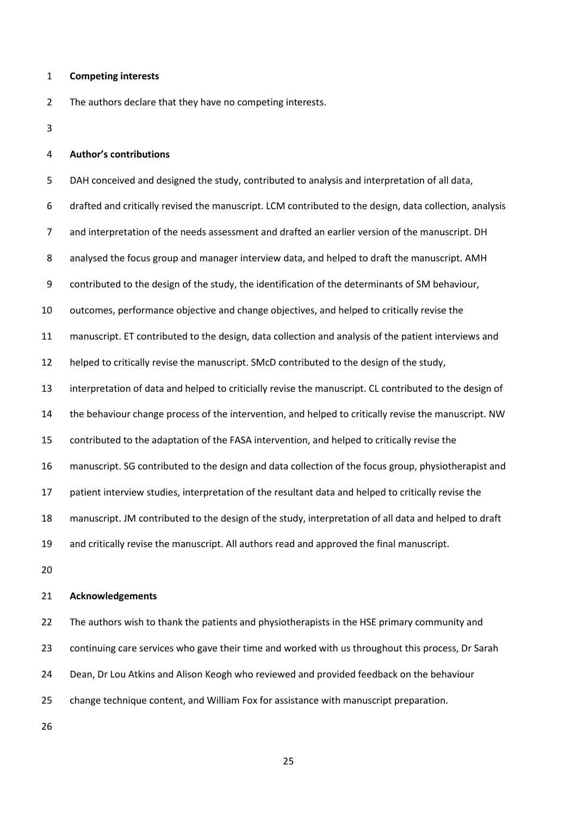#### **Competing interests**

The authors declare that they have no competing interests.

#### **Author's contributions**

 DAH conceived and designed the study, contributed to analysis and interpretation of all data, drafted and critically revised the manuscript. LCM contributed to the design, data collection, analysis and interpretation of the needs assessment and drafted an earlier version of the manuscript. DH analysed the focus group and manager interview data, and helped to draft the manuscript. AMH contributed to the design of the study, the identification of the determinants of SM behaviour, outcomes, performance objective and change objectives, and helped to critically revise the manuscript. ET contributed to the design, data collection and analysis of the patient interviews and helped to critically revise the manuscript. SMcD contributed to the design of the study, interpretation of data and helped to criticially revise the manuscript. CL contributed to the design of the behaviour change process of the intervention, and helped to critically revise the manuscript. NW contributed to the adaptation of the FASA intervention, and helped to critically revise the manuscript. SG contributed to the design and data collection of the focus group, physiotherapist and patient interview studies, interpretation of the resultant data and helped to critically revise the manuscript. JM contributed to the design of the study, interpretation of all data and helped to draft and critically revise the manuscript. All authors read and approved the final manuscript. 

# **Acknowledgements**

22 The authors wish to thank the patients and physiotherapists in the HSE primary community and continuing care services who gave their time and worked with us throughout this process, Dr Sarah Dean, Dr Lou Atkins and Alison Keogh who reviewed and provided feedback on the behaviour change technique content, and William Fox for assistance with manuscript preparation.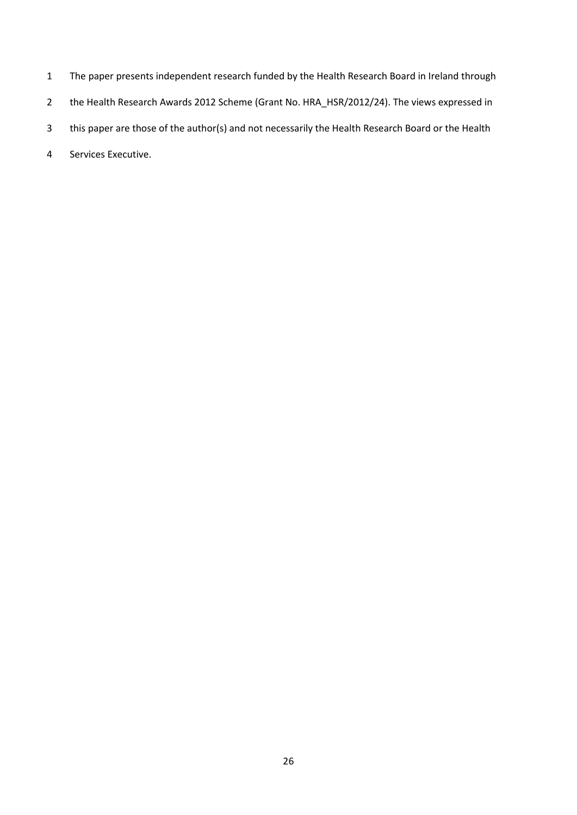- The paper presents independent research funded by the Health Research Board in Ireland through
- 2 the Health Research Awards 2012 Scheme (Grant No. HRA\_HSR/2012/24). The views expressed in
- this paper are those of the author(s) and not necessarily the Health Research Board or the Health
- Services Executive.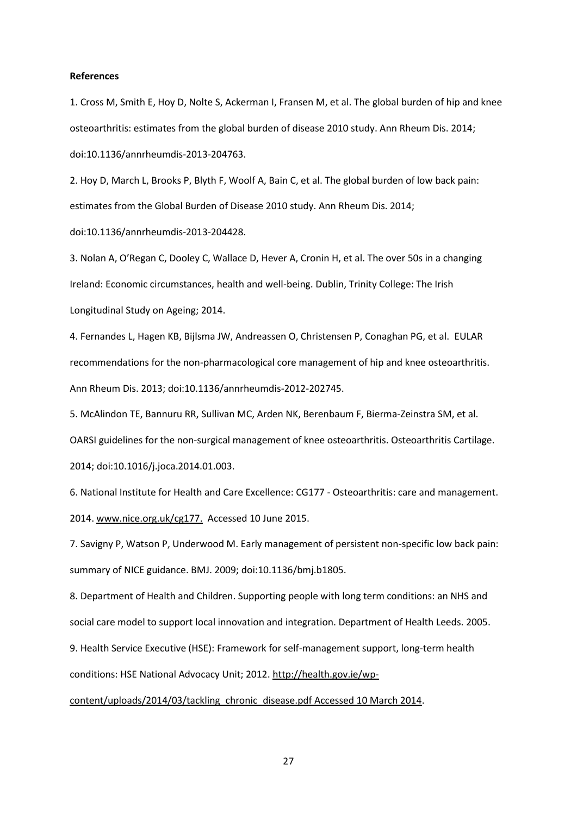#### **References**

1. Cross M, Smith E, Hoy D, Nolte S, Ackerman I, Fransen M, et al. The global burden of hip and knee osteoarthritis: estimates from the global burden of disease 2010 study. Ann Rheum Dis. 2014; doi:10.1136/annrheumdis-2013-204763.

2. Hoy D, March L, Brooks P, Blyth F, Woolf A, Bain C, et al. The global burden of low back pain: estimates from the Global Burden of Disease 2010 study. Ann Rheum Dis. 2014; doi:10.1136/annrheumdis-2013-204428.

3. Nolan A, O'Regan C, Dooley C, Wallace D, Hever A, Cronin H, et al. The over 50s in a changing Ireland: Economic circumstances, health and well-being. Dublin, Trinity College: The Irish Longitudinal Study on Ageing; 2014.

4. Fernandes L, Hagen KB, Bijlsma JW, Andreassen O, Christensen P, Conaghan PG, et al. EULAR recommendations for the non-pharmacological core management of hip and knee osteoarthritis. Ann Rheum Dis. 2013; doi:10.1136/annrheumdis-2012-202745.

5. McAlindon TE, Bannuru RR, Sullivan MC, Arden NK, Berenbaum F, Bierma-Zeinstra SM, et al. OARSI guidelines for the non-surgical management of knee osteoarthritis. Osteoarthritis Cartilage. 2014; doi:10.1016/j.joca.2014.01.003.

6. National Institute for Health and Care Excellence: CG177 - Osteoarthritis: care and management. 2014[. www.nice.org.uk/cg177.](http://www.nice.org.uk/cg177) Accessed 10 June 2015.

7. Savigny P, Watson P, Underwood M. Early management of persistent non-specific low back pain: summary of NICE guidance. BMJ. 2009; doi:10.1136/bmj.b1805.

8. Department of Health and Children. Supporting people with long term conditions: an NHS and social care model to support local innovation and integration. Department of Health Leeds. 2005.

9. Health Service Executive (HSE): Framework for self-management support, long-term health

conditions: HSE National Advocacy Unit; 2012. [http://health.gov.ie/wp-](http://health.gov.ie/wp-content/uploads/2014/03/tackling_chronic_disease.pdf%20Accessed%2010%20March%202014)

[content/uploads/2014/03/tackling\\_chronic\\_disease.pdf Accessed 10 March 2014.](http://health.gov.ie/wp-content/uploads/2014/03/tackling_chronic_disease.pdf%20Accessed%2010%20March%202014)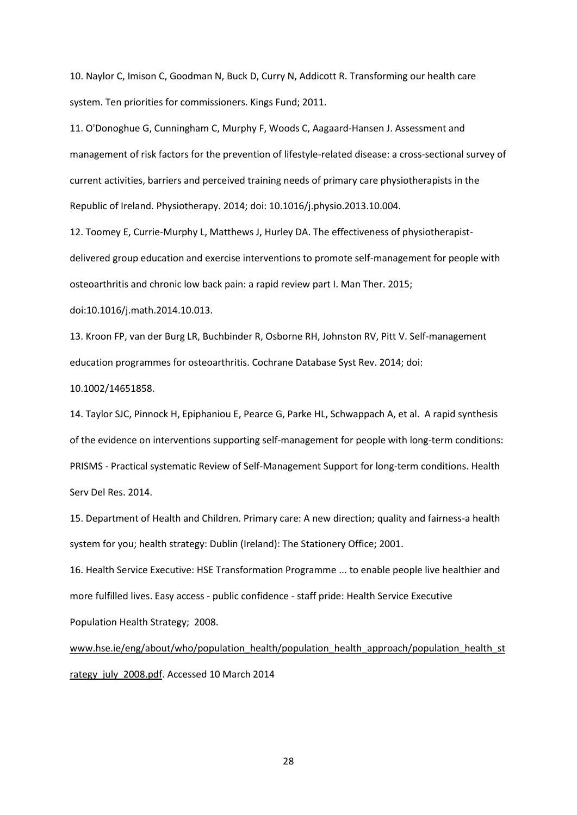10. Naylor C, Imison C, Goodman N, Buck D, Curry N, Addicott R. Transforming our health care system. Ten priorities for commissioners. Kings Fund; 2011.

11. O'Donoghue G, Cunningham C, Murphy F, Woods C, Aagaard-Hansen J. Assessment and management of risk factors for the prevention of lifestyle-related disease: a cross-sectional survey of current activities, barriers and perceived training needs of primary care physiotherapists in the Republic of Ireland. Physiotherapy. 2014; doi: 10.1016/j.physio.2013.10.004.

12. Toomey E, Currie-Murphy L, Matthews J, Hurley DA. The effectiveness of physiotherapistdelivered group education and exercise interventions to promote self-management for people with osteoarthritis and chronic low back pain: a rapid review part I. Man Ther. 2015;

doi:10.1016/j.math.2014.10.013.

13. Kroon FP, van der Burg LR, Buchbinder R, Osborne RH, Johnston RV, Pitt V. Self-management education programmes for osteoarthritis. Cochrane Database Syst Rev. 2014; doi:

10.1002/14651858.

14. Taylor SJC, Pinnock H, Epiphaniou E, Pearce G, Parke HL, Schwappach A, et al. A rapid synthesis of the evidence on interventions supporting self-management for people with long-term conditions: PRISMS - Practical systematic Review of Self-Management Support for long-term conditions. Health Serv Del Res. 2014.

15. Department of Health and Children. Primary care: A new direction; quality and fairness-a health system for you; health strategy: Dublin (Ireland): The Stationery Office; 2001.

16. Health Service Executive: HSE Transformation Programme ... to enable people live healthier and more fulfilled lives. Easy access - public confidence - staff pride: Health Service Executive Population Health Strategy; 2008.

[www.hse.ie/eng/about/who/population\\_health/population\\_health\\_approach/population\\_health\\_st](http://www.hse.ie/eng/about/who/population_health/population_health_approach/population_health_strategy_july_2008.pdf) [rategy\\_july\\_2008.pdf.](http://www.hse.ie/eng/about/who/population_health/population_health_approach/population_health_strategy_july_2008.pdf) Accessed 10 March 2014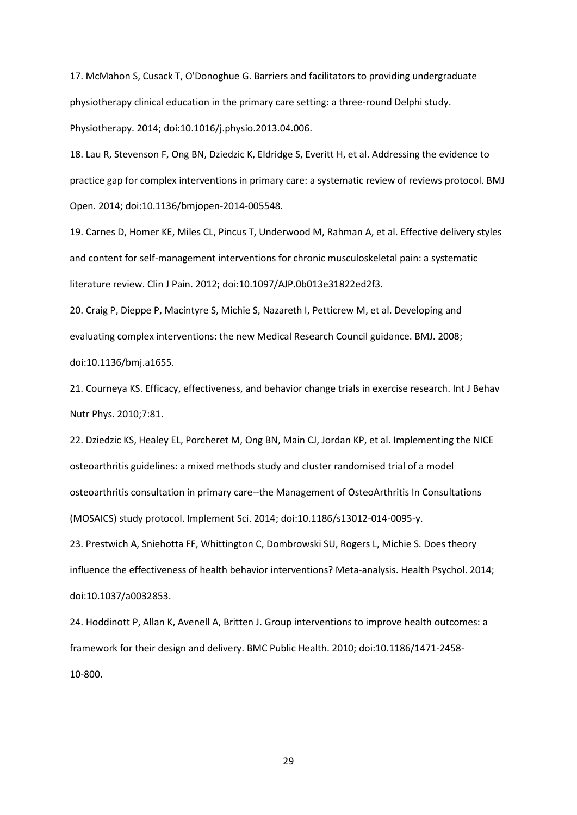17. McMahon S, Cusack T, O'Donoghue G. Barriers and facilitators to providing undergraduate physiotherapy clinical education in the primary care setting: a three-round Delphi study. Physiotherapy. 2014; doi:10.1016/j.physio.2013.04.006.

18. Lau R, Stevenson F, Ong BN, Dziedzic K, Eldridge S, Everitt H, et al. Addressing the evidence to practice gap for complex interventions in primary care: a systematic review of reviews protocol. BMJ Open. 2014; doi:10.1136/bmjopen-2014-005548.

19. Carnes D, Homer KE, Miles CL, Pincus T, Underwood M, Rahman A, et al. Effective delivery styles and content for self-management interventions for chronic musculoskeletal pain: a systematic literature review. Clin J Pain. 2012; doi:10.1097/AJP.0b013e31822ed2f3.

20. Craig P, Dieppe P, Macintyre S, Michie S, Nazareth I, Petticrew M, et al. Developing and evaluating complex interventions: the new Medical Research Council guidance. BMJ. 2008; doi:10.1136/bmj.a1655.

21. Courneya KS. Efficacy, effectiveness, and behavior change trials in exercise research. Int J Behav Nutr Phys. 2010;7:81.

22. Dziedzic KS, Healey EL, Porcheret M, Ong BN, Main CJ, Jordan KP, et al. Implementing the NICE osteoarthritis guidelines: a mixed methods study and cluster randomised trial of a model osteoarthritis consultation in primary care--the Management of OsteoArthritis In Consultations (MOSAICS) study protocol. Implement Sci. 2014; doi:10.1186/s13012-014-0095-y.

23. Prestwich A, Sniehotta FF, Whittington C, Dombrowski SU, Rogers L, Michie S. Does theory influence the effectiveness of health behavior interventions? Meta-analysis. Health Psychol. 2014; doi:10.1037/a0032853.

24. Hoddinott P, Allan K, Avenell A, Britten J. Group interventions to improve health outcomes: a framework for their design and delivery. BMC Public Health. 2010; doi:10.1186/1471-2458- 10-800.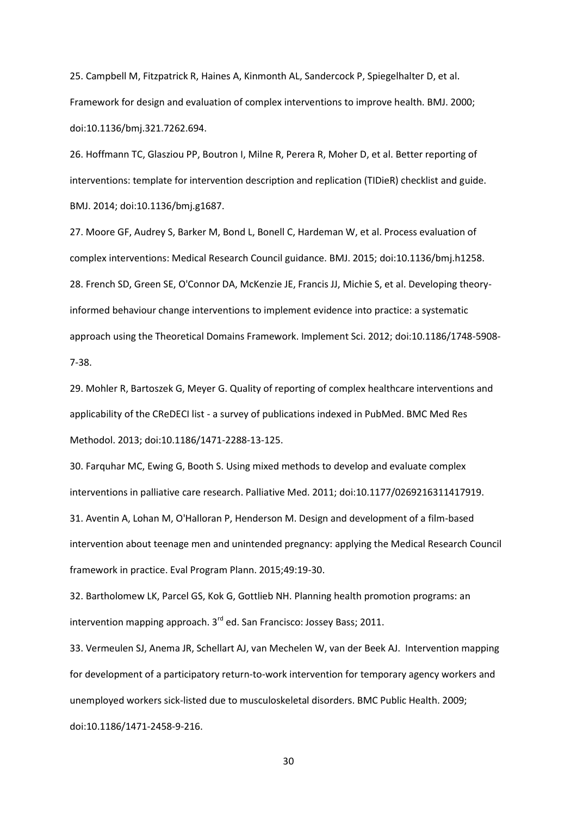25. Campbell M, Fitzpatrick R, Haines A, Kinmonth AL, Sandercock P, Spiegelhalter D, et al. Framework for design and evaluation of complex interventions to improve health. BMJ. 2000; doi:10.1136/bmj.321.7262.694.

26. Hoffmann TC, Glasziou PP, Boutron I, Milne R, Perera R, Moher D, et al. Better reporting of interventions: template for intervention description and replication (TIDieR) checklist and guide. BMJ. 2014; doi:10.1136/bmj.g1687.

27. Moore GF, Audrey S, Barker M, Bond L, Bonell C, Hardeman W, et al. Process evaluation of complex interventions: Medical Research Council guidance. BMJ. 2015; doi:10.1136/bmj.h1258. 28. French SD, Green SE, O'Connor DA, McKenzie JE, Francis JJ, Michie S, et al. Developing theoryinformed behaviour change interventions to implement evidence into practice: a systematic approach using the Theoretical Domains Framework. Implement Sci. 2012; doi:10.1186/1748-5908- 7-38.

29. Mohler R, Bartoszek G, Meyer G. Quality of reporting of complex healthcare interventions and applicability of the CReDECI list - a survey of publications indexed in PubMed. BMC Med Res Methodol. 2013; doi:10.1186/1471-2288-13-125.

30. Farquhar MC, Ewing G, Booth S. Using mixed methods to develop and evaluate complex interventions in palliative care research. Palliative Med. 2011; doi:10.1177/0269216311417919.

31. Aventin A, Lohan M, O'Halloran P, Henderson M. Design and development of a film-based intervention about teenage men and unintended pregnancy: applying the Medical Research Council framework in practice. Eval Program Plann. 2015;49:19-30.

32. Bartholomew LK, Parcel GS, Kok G, Gottlieb NH. Planning health promotion programs: an intervention mapping approach. 3<sup>rd</sup> ed. San Francisco: Jossey Bass; 2011.

33. Vermeulen SJ, Anema JR, Schellart AJ, van Mechelen W, van der Beek AJ. Intervention mapping for development of a participatory return-to-work intervention for temporary agency workers and unemployed workers sick-listed due to musculoskeletal disorders. BMC Public Health. 2009; doi:10.1186/1471-2458-9-216.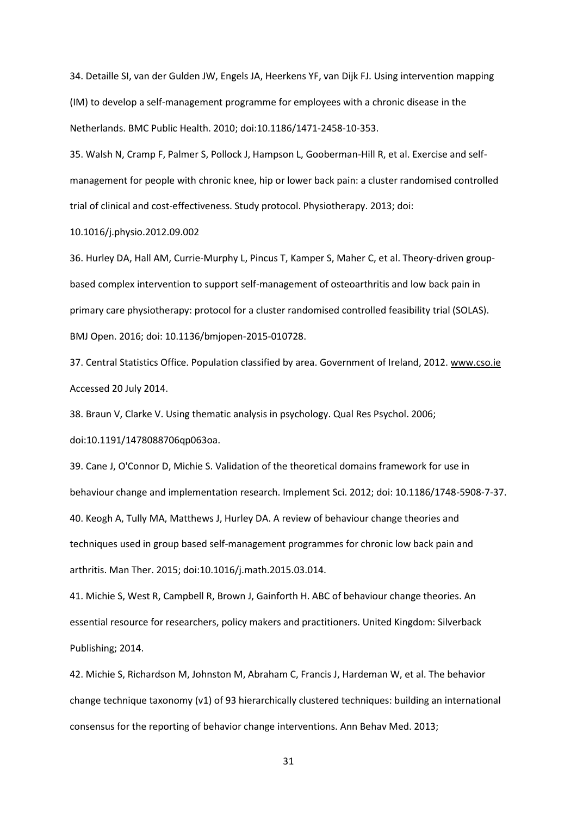34. Detaille SI, van der Gulden JW, Engels JA, Heerkens YF, van Dijk FJ. Using intervention mapping (IM) to develop a self-management programme for employees with a chronic disease in the Netherlands. BMC Public Health. 2010; doi:10.1186/1471-2458-10-353.

35. Walsh N, Cramp F, Palmer S, Pollock J, Hampson L, Gooberman-Hill R, et al. Exercise and selfmanagement for people with chronic knee, hip or lower back pain: a cluster randomised controlled trial of clinical and cost-effectiveness. Study protocol. Physiotherapy. 2013; doi:

10.1016/j.physio.2012.09.002

36. Hurley DA, Hall AM, Currie-Murphy L, Pincus T, Kamper S, Maher C, et al. Theory-driven groupbased complex intervention to support self-management of osteoarthritis and low back pain in primary care physiotherapy: protocol for a cluster randomised controlled feasibility trial (SOLAS). BMJ Open. 2016; doi: 10.1136/bmjopen-2015-010728.

37. Central Statistics Office. Population classified by area. Government of Ireland, 2012. [www.cso.ie](http://www.cso.ie/) Accessed 20 July 2014.

38. Braun V, Clarke V. Using thematic analysis in psychology. Qual Res Psychol. 2006;

doi:10.1191/1478088706qp063oa.

39. Cane J, O'Connor D, Michie S. Validation of the theoretical domains framework for use in behaviour change and implementation research. Implement Sci. 2012; doi: 10.1186/1748-5908-7-37. 40. Keogh A, Tully MA, Matthews J, Hurley DA. A review of behaviour change theories and techniques used in group based self-management programmes for chronic low back pain and arthritis. Man Ther. 2015; doi:10.1016/j.math.2015.03.014.

41. Michie S, West R, Campbell R, Brown J, Gainforth H. ABC of behaviour change theories. An essential resource for researchers, policy makers and practitioners. United Kingdom: Silverback Publishing; 2014.

42. Michie S, Richardson M, Johnston M, Abraham C, Francis J, Hardeman W, et al. The behavior change technique taxonomy (v1) of 93 hierarchically clustered techniques: building an international consensus for the reporting of behavior change interventions. Ann Behav Med. 2013;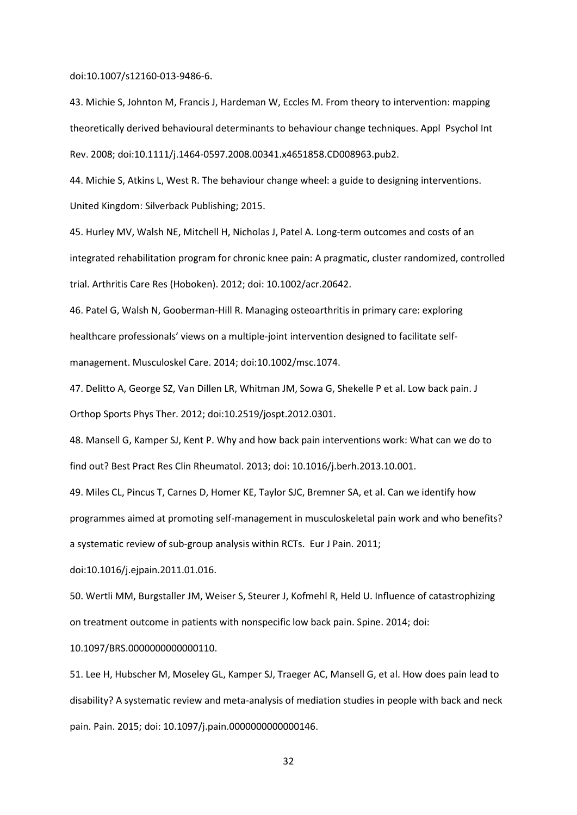doi:10.1007/s12160-013-9486-6.

43. Michie S, Johnton M, Francis J, Hardeman W, Eccles M. From theory to intervention: mapping theoretically derived behavioural determinants to behaviour change techniques. Appl Psychol Int Rev. 2008; doi:10.1111/j.1464-0597.2008.00341.x4651858.CD008963.pub2.

44. Michie S, Atkins L, West R. The behaviour change wheel: a guide to designing interventions. United Kingdom: Silverback Publishing; 2015.

45. Hurley MV, Walsh NE, Mitchell H, Nicholas J, Patel A. Long-term outcomes and costs of an integrated rehabilitation program for chronic knee pain: A pragmatic, cluster randomized, controlled trial. Arthritis Care Res (Hoboken). 2012; doi: 10.1002/acr.20642.

46. Patel G, Walsh N, Gooberman‐Hill R. Managing osteoarthritis in primary care: exploring healthcare professionals' views on a multiple‐joint intervention designed to facilitate self‐ management. Musculoskel Care. 2014; doi:10.1002/msc.1074.

47. Delitto A, George SZ, Van Dillen LR, Whitman JM, Sowa G, Shekelle P et al. Low back pain. J Orthop Sports Phys Ther. 2012; doi:10.2519/jospt.2012.0301.

48. Mansell G, Kamper SJ, Kent P. Why and how back pain interventions work: What can we do to find out? Best Pract Res Clin Rheumatol. 2013; doi: 10.1016/j.berh.2013.10.001.

49. Miles CL, Pincus T, Carnes D, Homer KE, Taylor SJC, Bremner SA, et al. Can we identify how

programmes aimed at promoting self-management in musculoskeletal pain work and who benefits?

a systematic review of sub-group analysis within RCTs. Eur J Pain. 2011;

doi:10.1016/j.ejpain.2011.01.016.

50. Wertli MM, Burgstaller JM, Weiser S, Steurer J, Kofmehl R, Held U. Influence of catastrophizing on treatment outcome in patients with nonspecific low back pain. Spine. 2014; doi:

10.1097/BRS.0000000000000110.

51. Lee H, Hubscher M, Moseley GL, Kamper SJ, Traeger AC, Mansell G, et al. How does pain lead to disability? A systematic review and meta-analysis of mediation studies in people with back and neck pain. Pain. 2015; doi: 10.1097/j.pain.0000000000000146.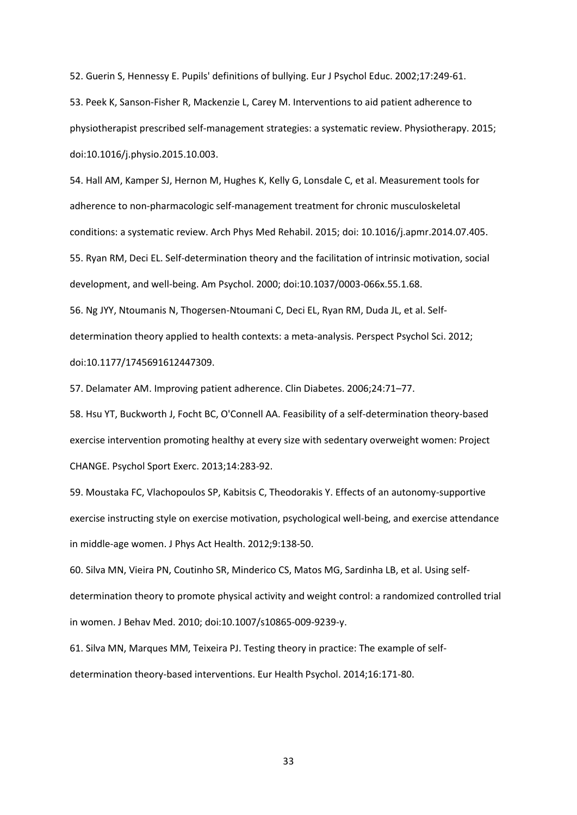52. Guerin S, Hennessy E. Pupils' definitions of bullying. Eur J Psychol Educ. 2002;17:249-61.

53. Peek K, Sanson-Fisher R, Mackenzie L, Carey M. Interventions to aid patient adherence to physiotherapist prescribed self-management strategies: a systematic review. Physiotherapy. 2015; doi:10.1016/j.physio.2015.10.003.

54. Hall AM, Kamper SJ, Hernon M, Hughes K, Kelly G, Lonsdale C, et al. Measurement tools for adherence to non-pharmacologic self-management treatment for chronic musculoskeletal conditions: a systematic review. Arch Phys Med Rehabil. 2015; doi: 10.1016/j.apmr.2014.07.405. 55. Ryan RM, Deci EL. Self-determination theory and the facilitation of intrinsic motivation, social development, and well-being. Am Psychol. 2000; doi:10.1037/0003-066x.55.1.68. 56. Ng JYY, Ntoumanis N, Thogersen-Ntoumani C, Deci EL, Ryan RM, Duda JL, et al. Selfdetermination theory applied to health contexts: a meta-analysis. Perspect Psychol Sci. 2012;

doi:10.1177/1745691612447309.

57. Delamater AM. Improving patient adherence. Clin Diabetes. 2006;24:71–77.

58. Hsu YT, Buckworth J, Focht BC, O'Connell AA. Feasibility of a self-determination theory-based exercise intervention promoting healthy at every size with sedentary overweight women: Project CHANGE. Psychol Sport Exerc. 2013;14:283-92.

59. Moustaka FC, Vlachopoulos SP, Kabitsis C, Theodorakis Y. Effects of an autonomy-supportive exercise instructing style on exercise motivation, psychological well-being, and exercise attendance in middle-age women. J Phys Act Health. 2012;9:138-50.

60. Silva MN, Vieira PN, Coutinho SR, Minderico CS, Matos MG, Sardinha LB, et al. Using selfdetermination theory to promote physical activity and weight control: a randomized controlled trial in women. J Behav Med. 2010; doi:10.1007/s10865-009-9239-y.

61. Silva MN, Marques MM, Teixeira PJ. Testing theory in practice: The example of selfdetermination theory-based interventions. Eur Health Psychol. 2014;16:171-80.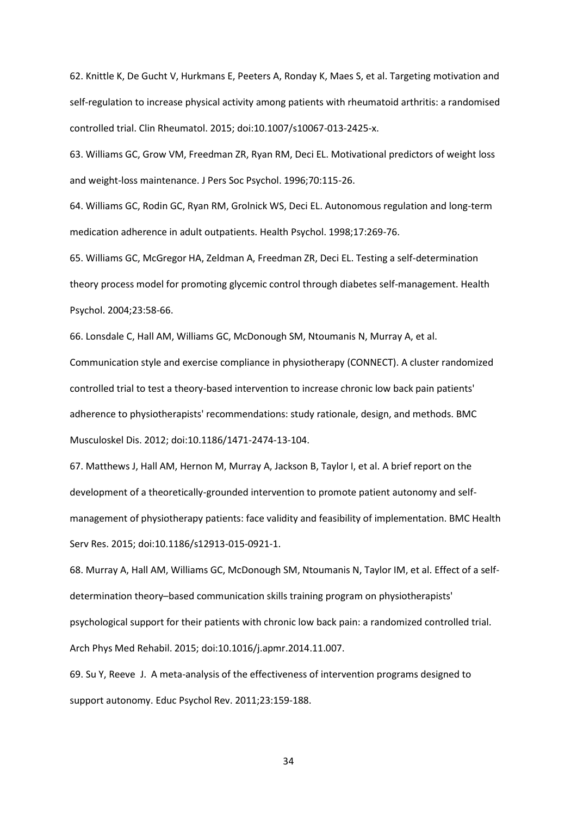62. Knittle K, De Gucht V, Hurkmans E, Peeters A, Ronday K, Maes S, et al. Targeting motivation and self-regulation to increase physical activity among patients with rheumatoid arthritis: a randomised controlled trial. Clin Rheumatol. 2015; doi:10.1007/s10067-013-2425-x.

63. Williams GC, Grow VM, Freedman ZR, Ryan RM, Deci EL. Motivational predictors of weight loss and weight-loss maintenance. J Pers Soc Psychol. 1996;70:115-26.

64. Williams GC, Rodin GC, Ryan RM, Grolnick WS, Deci EL. Autonomous regulation and long-term medication adherence in adult outpatients. Health Psychol. 1998;17:269-76.

65. Williams GC, McGregor HA, Zeldman A, Freedman ZR, Deci EL. Testing a self-determination theory process model for promoting glycemic control through diabetes self-management. Health Psychol. 2004;23:58-66.

66. Lonsdale C, Hall AM, Williams GC, McDonough SM, Ntoumanis N, Murray A, et al.

Communication style and exercise compliance in physiotherapy (CONNECT). A cluster randomized controlled trial to test a theory-based intervention to increase chronic low back pain patients' adherence to physiotherapists' recommendations: study rationale, design, and methods. BMC Musculoskel Dis. 2012; doi:10.1186/1471-2474-13-104.

67. Matthews J, Hall AM, Hernon M, Murray A, Jackson B, Taylor I, et al. A brief report on the development of a theoretically-grounded intervention to promote patient autonomy and selfmanagement of physiotherapy patients: face validity and feasibility of implementation. BMC Health Serv Res. 2015; doi:10.1186/s12913-015-0921-1.

68. Murray A, Hall AM, Williams GC, McDonough SM, Ntoumanis N, Taylor IM, et al. Effect of a selfdetermination theory–based communication skills training program on physiotherapists' psychological support for their patients with chronic low back pain: a randomized controlled trial. Arch Phys Med Rehabil. 2015; doi:10.1016/j.apmr.2014.11.007.

69. Su Y, Reeve J. A meta-analysis of the effectiveness of intervention programs designed to support autonomy. Educ Psychol Rev. 2011;23:159-188.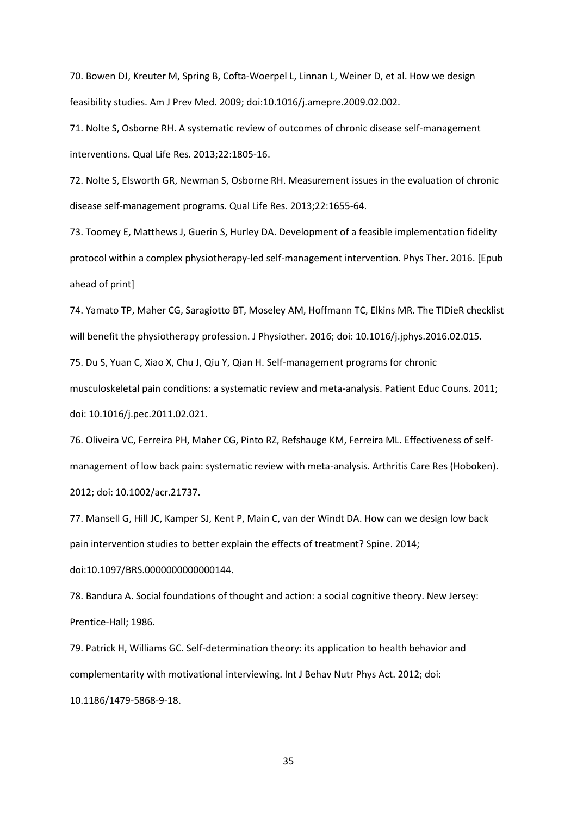70. Bowen DJ, Kreuter M, Spring B, Cofta-Woerpel L, Linnan L, Weiner D, et al. How we design feasibility studies. Am J Prev Med. 2009; doi:10.1016/j.amepre.2009.02.002.

71. Nolte S, Osborne RH. A systematic review of outcomes of chronic disease self-management interventions. Qual Life Res. 2013;22:1805-16.

72. Nolte S, Elsworth GR, Newman S, Osborne RH. Measurement issues in the evaluation of chronic disease self-management programs. Qual Life Res. 2013;22:1655-64.

73. Toomey E, Matthews J, Guerin S, Hurley DA. Development of a feasible implementation fidelity protocol within a complex physiotherapy-led self-management intervention. Phys Ther. 2016. [Epub ahead of print]

74. Yamato TP, Maher CG, Saragiotto BT, Moseley AM, Hoffmann TC, Elkins MR. The TIDieR checklist will benefit the physiotherapy profession. J Physiother. 2016; doi: 10.1016/j.jphys.2016.02.015. 75. Du S, Yuan C, Xiao X, Chu J, Qiu Y, Qian H. Self-management programs for chronic

musculoskeletal pain conditions: a systematic review and meta-analysis. Patient Educ Couns. 2011; doi: 10.1016/j.pec.2011.02.021.

76. Oliveira VC, Ferreira PH, Maher CG, Pinto RZ, Refshauge KM, Ferreira ML. Effectiveness of selfmanagement of low back pain: systematic review with meta-analysis. Arthritis Care Res (Hoboken). 2012; doi: 10.1002/acr.21737.

77. Mansell G, Hill JC, Kamper SJ, Kent P, Main C, van der Windt DA. How can we design low back pain intervention studies to better explain the effects of treatment? Spine. 2014; doi:10.1097/BRS.0000000000000144.

78. Bandura A. Social foundations of thought and action: a social cognitive theory. New Jersey: Prentice-Hall; 1986.

79. Patrick H, Williams GC. Self-determination theory: its application to health behavior and complementarity with motivational interviewing. Int J Behav Nutr Phys Act. 2012; doi: 10.1186/1479-5868-9-18.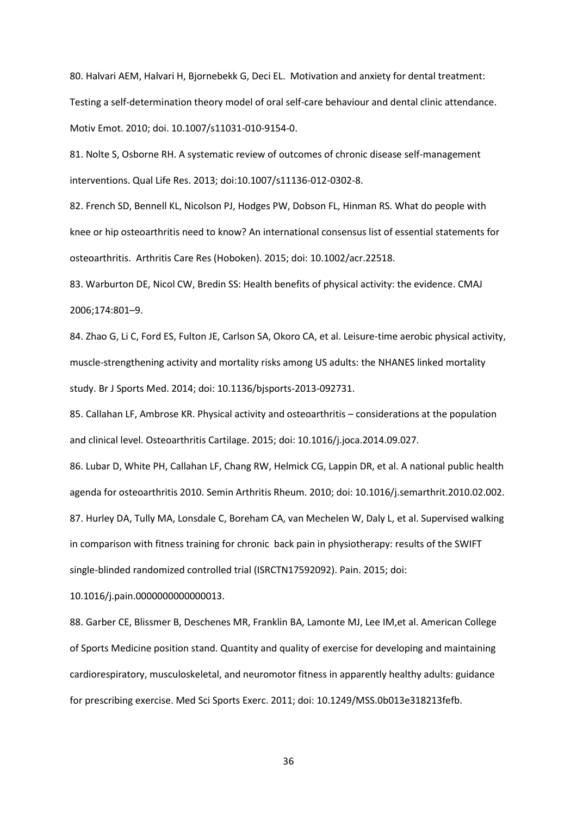80. Halvari AEM, Halvari H, Bjornebekk G, Deci EL. Motivation and anxiety for dental treatment: Testing a self-determination theory model of oral self-care behaviour and dental clinic attendance. Motiv Emot. 2010; doi. 10.1007/s11031-010-9154-0.

81. Nolte S, Osborne RH. A systematic review of outcomes of chronic disease self-management interventions. Qual Life Res. 2013; doi:10.1007/s11136-012-0302-8.

82. French SD, Bennell KL, Nicolson PJ, Hodges PW, Dobson FL, Hinman RS. What do people with knee or hip osteoarthritis need to know? An international consensus list of essential statements for osteoarthritis. Arthritis Care Res (Hoboken). 2015; doi: 10.1002/acr.22518.

83. Warburton DE, Nicol CW, Bredin SS: Health benefits of physical activity: the evidence. CMAJ 2006;174:801–9.

84. Zhao G, Li C, Ford ES, Fulton JE, Carlson SA, Okoro CA, et al. Leisure-time aerobic physical activity, muscle-strengthening activity and mortality risks among US adults: the NHANES linked mortality study. Br J Sports Med. 2014; doi: 10.1136/bjsports-2013-092731.

85. Callahan LF, Ambrose KR. Physical activity and osteoarthritis – considerations at the population and clinical level. Osteoarthritis Cartilage. 2015; doi: 10.1016/j.joca.2014.09.027.

86. Lubar D, White PH, Callahan LF, Chang RW, Helmick CG, Lappin DR, et al. A national public health agenda for osteoarthritis 2010. Semin Arthritis Rheum. 2010; doi: 10.1016/j.semarthrit.2010.02.002. 87. Hurley DA, Tully MA, Lonsdale C, Boreham CA, van Mechelen W, Daly L, et al. Supervised walking in comparison with fitness training for chronic back pain in physiotherapy: results of the SWIFT single-blinded randomized controlled trial (ISRCTN17592092). Pain. 2015; doi:

10.1016/j.pain.0000000000000013.

88. Garber CE, Blissmer B, Deschenes MR, Franklin BA, Lamonte MJ, Lee IM,et al. American College of Sports Medicine position stand. Quantity and quality of exercise for developing and maintaining cardiorespiratory, musculoskeletal, and neuromotor fitness in apparently healthy adults: guidance for prescribing exercise. Med Sci Sports Exerc. 2011; doi: 10.1249/MSS.0b013e318213fefb.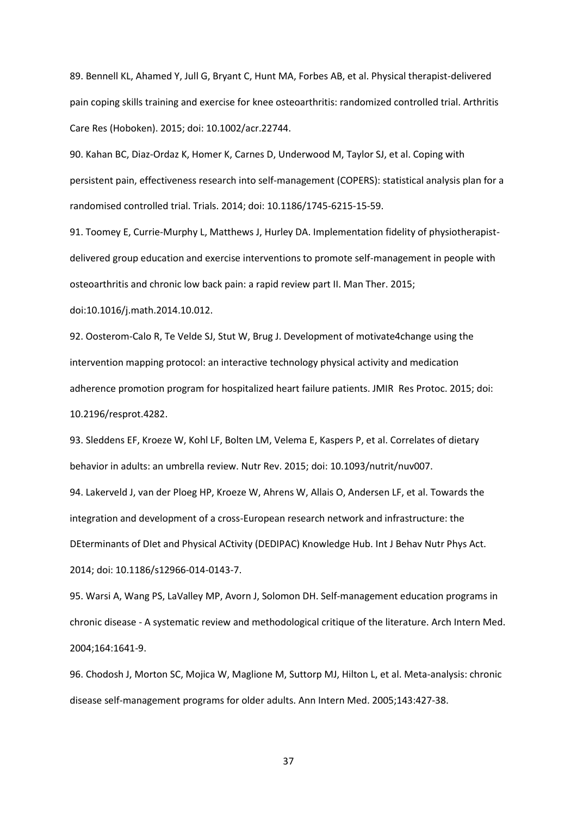89. Bennell KL, Ahamed Y, Jull G, Bryant C, Hunt MA, Forbes AB, et al. Physical therapist-delivered pain coping skills training and exercise for knee osteoarthritis: randomized controlled trial. Arthritis Care Res (Hoboken). 2015; doi: 10.1002/acr.22744.

90. Kahan BC, Diaz-Ordaz K, Homer K, Carnes D, Underwood M, Taylor SJ, et al. Coping with persistent pain, effectiveness research into self-management (COPERS): statistical analysis plan for a randomised controlled trial. Trials. 2014; doi: 10.1186/1745-6215-15-59.

91. Toomey E, Currie-Murphy L, Matthews J, Hurley DA. Implementation fidelity of physiotherapistdelivered group education and exercise interventions to promote self-management in people with osteoarthritis and chronic low back pain: a rapid review part II. Man Ther. 2015;

doi:10.1016/j.math.2014.10.012.

92. Oosterom-Calo R, Te Velde SJ, Stut W, Brug J. Development of motivate4change using the intervention mapping protocol: an interactive technology physical activity and medication adherence promotion program for hospitalized heart failure patients. JMIR Res Protoc. 2015; doi: 10.2196/resprot.4282.

93. Sleddens EF, Kroeze W, Kohl LF, Bolten LM, Velema E, Kaspers P, et al. Correlates of dietary behavior in adults: an umbrella review. Nutr Rev. 2015; doi: 10.1093/nutrit/nuv007.

94. Lakerveld J, van der Ploeg HP, Kroeze W, Ahrens W, Allais O, Andersen LF, et al. Towards the integration and development of a cross-European research network and infrastructure: the DEterminants of DIet and Physical ACtivity (DEDIPAC) Knowledge Hub. Int J Behav Nutr Phys Act. 2014; doi: 10.1186/s12966-014-0143-7.

95. Warsi A, Wang PS, LaValley MP, Avorn J, Solomon DH. Self-management education programs in chronic disease - A systematic review and methodological critique of the literature. Arch Intern Med. 2004;164:1641-9.

96. Chodosh J, Morton SC, Mojica W, Maglione M, Suttorp MJ, Hilton L, et al. Meta-analysis: chronic disease self-management programs for older adults. Ann Intern Med. 2005;143:427-38.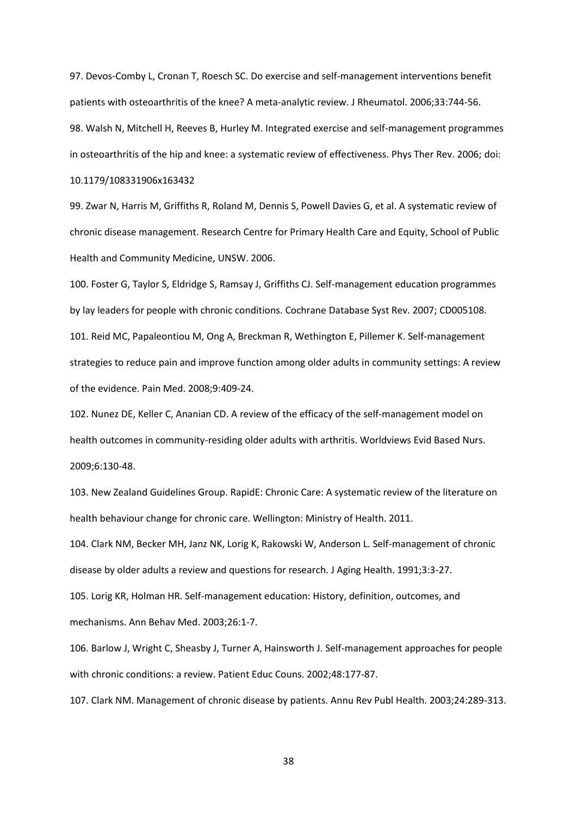97. Devos-Comby L, Cronan T, Roesch SC. Do exercise and self-management interventions benefit patients with osteoarthritis of the knee? A meta-analytic review. J Rheumatol. 2006;33:744-56. 98. Walsh N, Mitchell H, Reeves B, Hurley M. Integrated exercise and self-management programmes in osteoarthritis of the hip and knee: a systematic review of effectiveness. Phys Ther Rev. 2006; doi:

# 10.1179/108331906x163432

99. Zwar N, Harris M, Griffiths R, Roland M, Dennis S, Powell Davies G, et al. A systematic review of chronic disease management. Research Centre for Primary Health Care and Equity, School of Public Health and Community Medicine, UNSW. 2006.

100. Foster G, Taylor S, Eldridge S, Ramsay J, Griffiths CJ. Self-management education programmes by lay leaders for people with chronic conditions. Cochrane Database Syst Rev. 2007; CD005108. 101. Reid MC, Papaleontiou M, Ong A, Breckman R, Wethington E, Pillemer K. Self-management strategies to reduce pain and improve function among older adults in community settings: A review of the evidence. Pain Med. 2008;9:409-24.

102. Nunez DE, Keller C, Ananian CD. A review of the efficacy of the self-management model on health outcomes in community-residing older adults with arthritis. Worldviews Evid Based Nurs. 2009;6:130-48.

103. New Zealand Guidelines Group. RapidE: Chronic Care: A systematic review of the literature on health behaviour change for chronic care. Wellington: Ministry of Health. 2011.

104. Clark NM, Becker MH, Janz NK, Lorig K, Rakowski W, Anderson L. Self-management of chronic disease by older adults a review and questions for research. J Aging Health. 1991;3:3-27. 105. Lorig KR, Holman HR. Self-management education: History, definition, outcomes, and

mechanisms. Ann Behav Med. 2003;26:1-7.

106. Barlow J, Wright C, Sheasby J, Turner A, Hainsworth J. Self-management approaches for people with chronic conditions: a review. Patient Educ Couns. 2002;48:177-87.

107. Clark NM. Management of chronic disease by patients. Annu Rev Publ Health. 2003;24:289-313.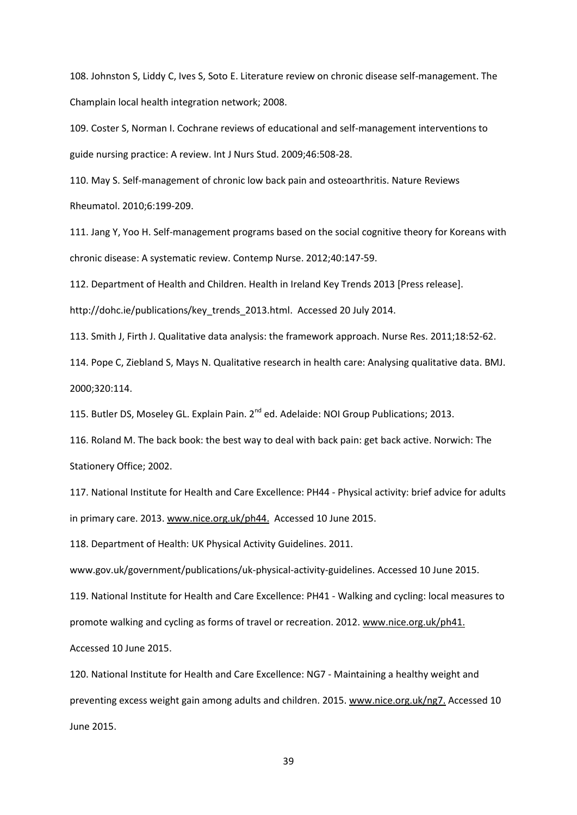108. Johnston S, Liddy C, Ives S, Soto E. Literature review on chronic disease self-management. The Champlain local health integration network; 2008.

109. Coster S, Norman I. Cochrane reviews of educational and self-management interventions to guide nursing practice: A review. Int J Nurs Stud. 2009;46:508-28.

110. May S. Self-management of chronic low back pain and osteoarthritis. Nature Reviews Rheumatol. 2010;6:199-209.

111. Jang Y, Yoo H. Self-management programs based on the social cognitive theory for Koreans with chronic disease: A systematic review. Contemp Nurse. 2012;40:147-59.

112. Department of Health and Children. Health in Ireland Key Trends 2013 [Press release].

http://dohc.ie/publications/key\_trends\_2013.html. Accessed 20 July 2014.

113. Smith J, Firth J. Qualitative data analysis: the framework approach. Nurse Res. 2011;18:52-62.

114. Pope C, Ziebland S, Mays N. Qualitative research in health care: Analysing qualitative data. BMJ. 2000;320:114.

115. Butler DS, Moseley GL. Explain Pain. 2<sup>nd</sup> ed. Adelaide: NOI Group Publications; 2013.

116. Roland M. The back book: the best way to deal with back pain: get back active. Norwich: The Stationery Office; 2002.

117. National Institute for Health and Care Excellence: PH44 - Physical activity: brief advice for adults in primary care. 2013. [www.nice.org.uk/ph44.](http://www.nice.org.uk/ph44) Accessed 10 June 2015.

118. Department of Health: UK Physical Activity Guidelines. 2011.

www.gov.uk/government/publications/uk-physical-activity-guidelines. Accessed 10 June 2015.

119. National Institute for Health and Care Excellence: PH41 - Walking and cycling: local measures to promote walking and cycling as forms of travel or recreation. 2012. [www.nice.org.uk/ph41.](http://www.nice.org.uk/ph41) Accessed 10 June 2015.

120. National Institute for Health and Care Excellence: NG7 - Maintaining a healthy weight and preventing excess weight gain among adults and children. 2015. [www.nice.org.uk/ng7.](http://www.nice.org.uk/ng7) Accessed 10 June 2015.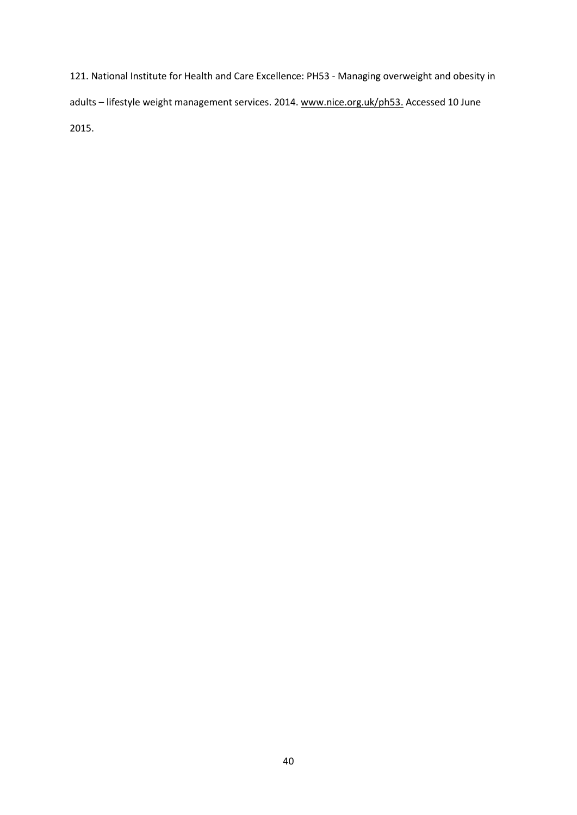121. National Institute for Health and Care Excellence: PH53 - Managing overweight and obesity in adults - lifestyle weight management services. 2014[. www.nice.org.uk/ph53.](http://www.nice.org.uk/ph53) Accessed 10 June 2015.